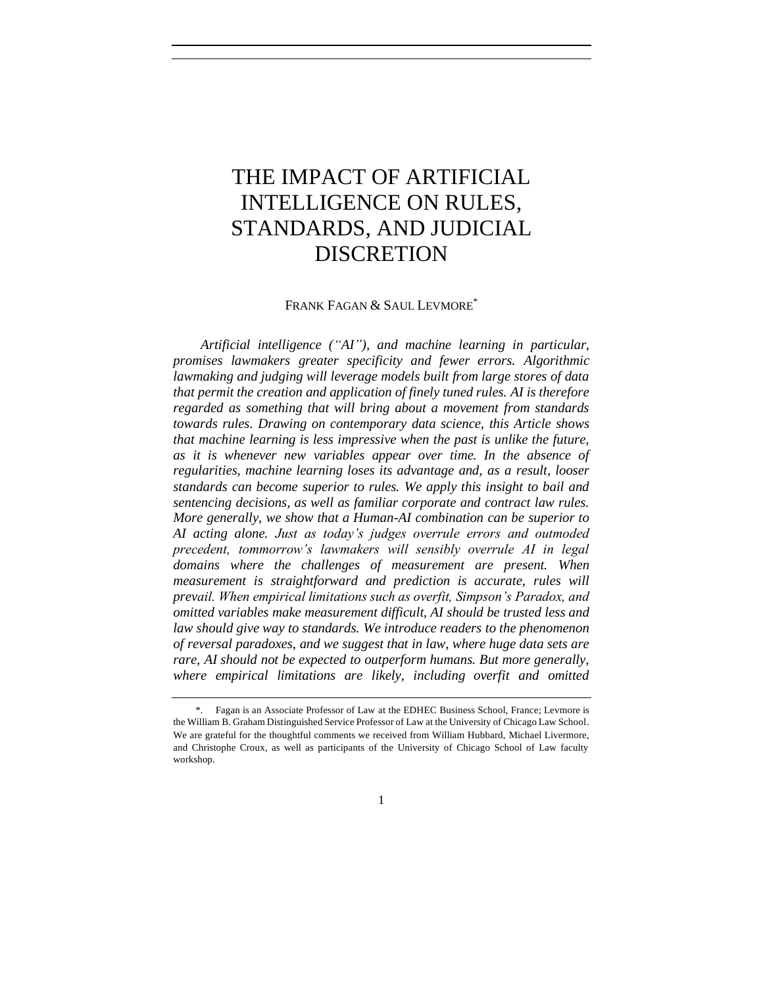# THE IMPACT OF ARTIFICIAL INTELLIGENCE ON RULES, STANDARDS, AND JUDICIAL DISCRETION

FRANK FAGAN & SAUL LEVMORE<sup>\*</sup>

*Artificial intelligence ("AI"), and machine learning in particular, promises lawmakers greater specificity and fewer errors. Algorithmic lawmaking and judging will leverage models built from large stores of data that permit the creation and application of finely tuned rules. AI is therefore regarded as something that will bring about a movement from standards towards rules. Drawing on contemporary data science, this Article shows that machine learning is less impressive when the past is unlike the future, as it is whenever new variables appear over time. In the absence of regularities, machine learning loses its advantage and, as a result, looser standards can become superior to rules. We apply this insight to bail and sentencing decisions, as well as familiar corporate and contract law rules. More generally, we show that a Human-AI combination can be superior to AI acting alone. Just as today's judges overrule errors and outmoded precedent, tommorrow's lawmakers will sensibly overrule AI in legal domains where the challenges of measurement are present. When measurement is straightforward and prediction is accurate, rules will prevail. When empirical limitations such as overfit, Simpson's Paradox, and omitted variables make measurement difficult, AI should be trusted less and law should give way to standards. We introduce readers to the phenomenon of reversal paradoxes, and we suggest that in law, where huge data sets are rare, AI should not be expected to outperform humans. But more generally, where empirical limitations are likely, including overfit and omitted* 

<sup>\*.</sup> Fagan is an Associate Professor of Law at the EDHEC Business School, France; Levmore is the William B. Graham Distinguished Service Professor of Law at the University of Chicago Law School. We are grateful for the thoughtful comments we received from William Hubbard, Michael Livermore, and Christophe Croux, as well as participants of the University of Chicago School of Law faculty workshop.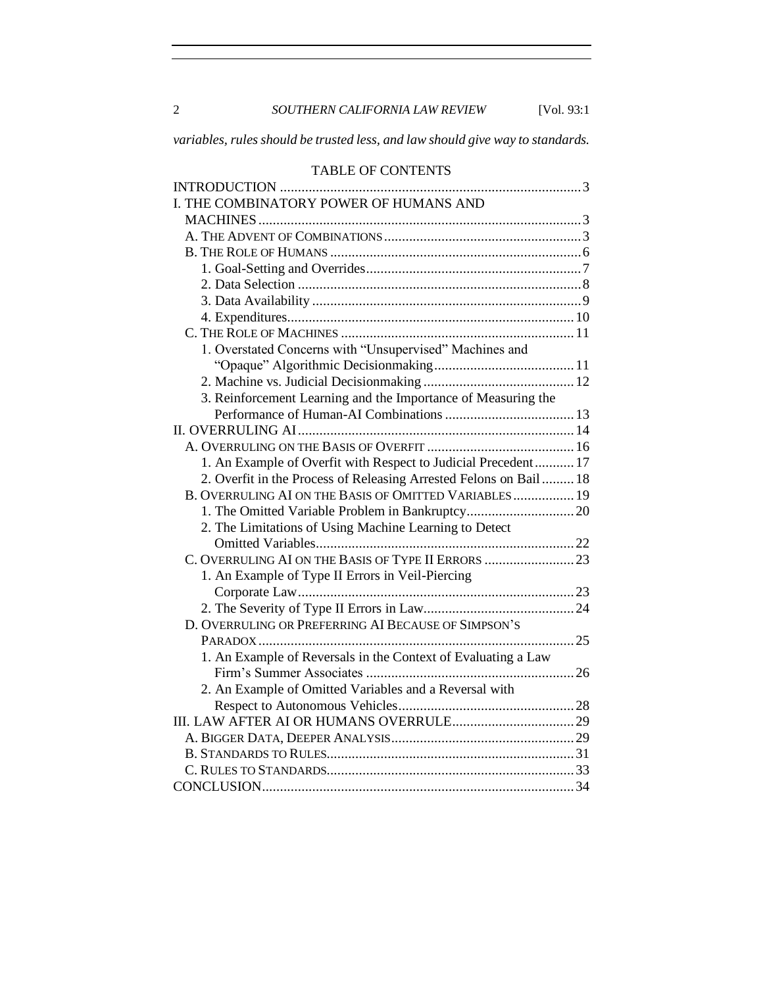2 *SOUTHERN CALIFORNIA LAW REVIEW* [Vol. 93:1

*variables, rules should be trusted less, and law should give way to standards.*

# TABLE OF CONTENTS

| I. THE COMBINATORY POWER OF HUMANS AND                            |  |
|-------------------------------------------------------------------|--|
|                                                                   |  |
|                                                                   |  |
|                                                                   |  |
|                                                                   |  |
|                                                                   |  |
|                                                                   |  |
|                                                                   |  |
|                                                                   |  |
| 1. Overstated Concerns with "Unsupervised" Machines and           |  |
|                                                                   |  |
|                                                                   |  |
| 3. Reinforcement Learning and the Importance of Measuring the     |  |
|                                                                   |  |
|                                                                   |  |
|                                                                   |  |
| 1. An Example of Overfit with Respect to Judicial Precedent 17    |  |
| 2. Overfit in the Process of Releasing Arrested Felons on Bail 18 |  |
| B. OVERRULING AI ON THE BASIS OF OMITTED VARIABLES 19             |  |
|                                                                   |  |
| 2. The Limitations of Using Machine Learning to Detect            |  |
|                                                                   |  |
|                                                                   |  |
| 1. An Example of Type II Errors in Veil-Piercing                  |  |
|                                                                   |  |
|                                                                   |  |
| D. OVERRULING OR PREFERRING AI BECAUSE OF SIMPSON'S               |  |
|                                                                   |  |
| 1. An Example of Reversals in the Context of Evaluating a Law     |  |
|                                                                   |  |
| 2. An Example of Omitted Variables and a Reversal with            |  |
|                                                                   |  |
|                                                                   |  |
|                                                                   |  |
|                                                                   |  |
|                                                                   |  |
|                                                                   |  |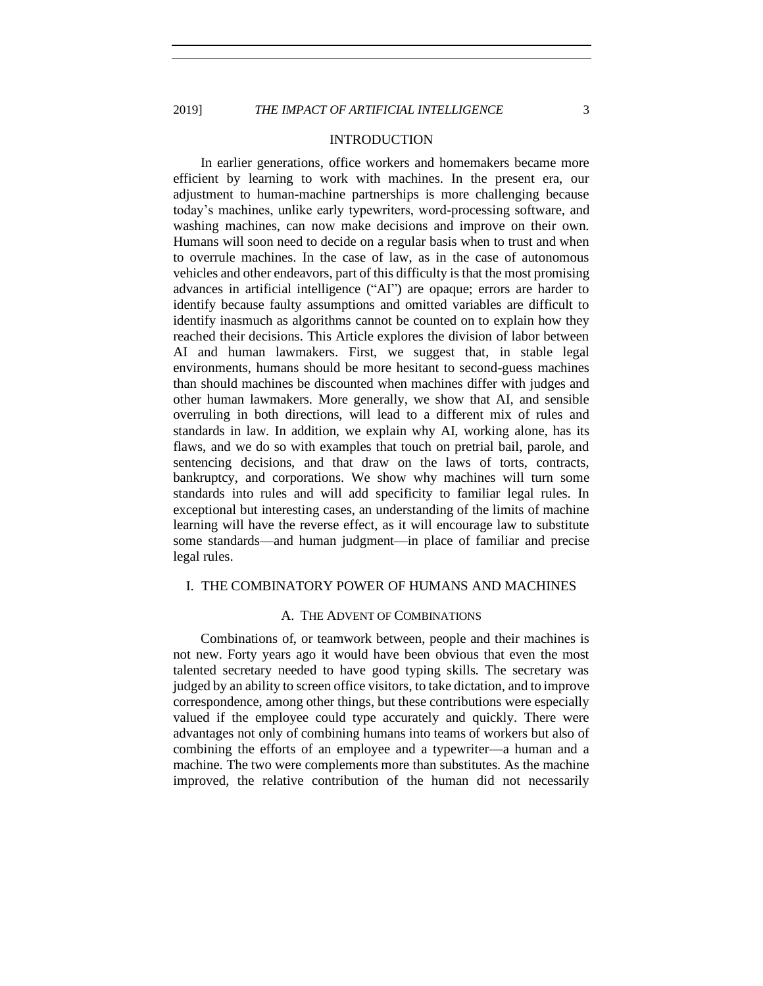# INTRODUCTION

<span id="page-2-0"></span>In earlier generations, office workers and homemakers became more efficient by learning to work with machines. In the present era, our adjustment to human-machine partnerships is more challenging because today's machines, unlike early typewriters, word-processing software, and washing machines, can now make decisions and improve on their own. Humans will soon need to decide on a regular basis when to trust and when to overrule machines. In the case of law, as in the case of autonomous vehicles and other endeavors, part of this difficulty is that the most promising advances in artificial intelligence ("AI") are opaque; errors are harder to identify because faulty assumptions and omitted variables are difficult to identify inasmuch as algorithms cannot be counted on to explain how they reached their decisions. This Article explores the division of labor between AI and human lawmakers. First, we suggest that, in stable legal environments, humans should be more hesitant to second-guess machines than should machines be discounted when machines differ with judges and other human lawmakers. More generally, we show that AI, and sensible overruling in both directions, will lead to a different mix of rules and standards in law. In addition, we explain why AI, working alone, has its flaws, and we do so with examples that touch on pretrial bail, parole, and sentencing decisions, and that draw on the laws of torts, contracts, bankruptcy, and corporations. We show why machines will turn some standards into rules and will add specificity to familiar legal rules. In exceptional but interesting cases, an understanding of the limits of machine learning will have the reverse effect, as it will encourage law to substitute some standards—and human judgment—in place of familiar and precise legal rules.

#### <span id="page-2-2"></span><span id="page-2-1"></span>I. THE COMBINATORY POWER OF HUMANS AND MACHINES

# A. THE ADVENT OF COMBINATIONS

Combinations of, or teamwork between, people and their machines is not new. Forty years ago it would have been obvious that even the most talented secretary needed to have good typing skills. The secretary was judged by an ability to screen office visitors, to take dictation, and to improve correspondence, among other things, but these contributions were especially valued if the employee could type accurately and quickly. There were advantages not only of combining humans into teams of workers but also of combining the efforts of an employee and a typewriter—a human and a machine. The two were complements more than substitutes. As the machine improved, the relative contribution of the human did not necessarily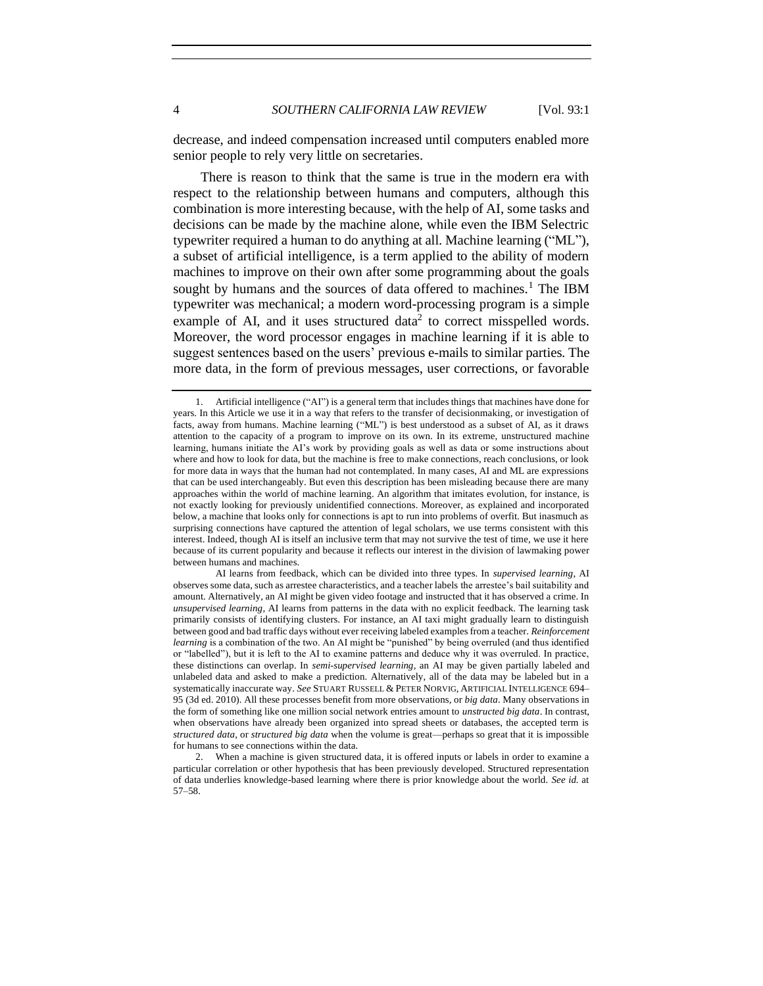<span id="page-3-0"></span>

decrease, and indeed compensation increased until computers enabled more senior people to rely very little on secretaries.

There is reason to think that the same is true in the modern era with respect to the relationship between humans and computers, although this combination is more interesting because, with the help of AI, some tasks and decisions can be made by the machine alone, while even the IBM Selectric typewriter required a human to do anything at all. Machine learning ("ML"), a subset of artificial intelligence, is a term applied to the ability of modern machines to improve on their own after some programming about the goals sought by humans and the sources of data offered to machines.<sup>1</sup> The IBM typewriter was mechanical; a modern word-processing program is a simple example of AI, and it uses structured data<sup>2</sup> to correct misspelled words. Moreover, the word processor engages in machine learning if it is able to suggest sentences based on the users' previous e-mails to similar parties. The more data, in the form of previous messages, user corrections, or favorable

AI learns from feedback, which can be divided into three types. In *supervised learning*, AI observes some data, such as arrestee characteristics, and a teacher labels the arrestee's bail suitability and amount. Alternatively, an AI might be given video footage and instructed that it has observed a crime. In *unsupervised learning*, AI learns from patterns in the data with no explicit feedback. The learning task primarily consists of identifying clusters. For instance, an AI taxi might gradually learn to distinguish between good and bad traffic days without ever receiving labeled examples from a teacher. *Reinforcement learning* is a combination of the two. An AI might be "punished" by being overruled (and thus identified or "labelled"), but it is left to the AI to examine patterns and deduce why it was overruled. In practice, these distinctions can overlap. In *semi-supervised learning*, an AI may be given partially labeled and unlabeled data and asked to make a prediction. Alternatively, all of the data may be labeled but in a systematically inaccurate way. *See* STUART RUSSELL & PETER NORVIG, ARTIFICIAL INTELLIGENCE 694– 95 (3d ed. 2010). All these processes benefit from more observations, or *big data*. Many observations in the form of something like one million social network entries amount to *unstructed big data*. In contrast, when observations have already been organized into spread sheets or databases, the accepted term is *structured data*, or *structured big data* when the volume is great—perhaps so great that it is impossible for humans to see connections within the data.

2. When a machine is given structured data, it is offered inputs or labels in order to examine a particular correlation or other hypothesis that has been previously developed. Structured representation of data underlies knowledge-based learning where there is prior knowledge about the world. *See id.* at 57–58.

<sup>1.</sup> Artificial intelligence ("AI") is a general term that includes things that machines have done for years. In this Article we use it in a way that refers to the transfer of decisionmaking, or investigation of facts, away from humans. Machine learning ("ML") is best understood as a subset of AI, as it draws attention to the capacity of a program to improve on its own. In its extreme, unstructured machine learning, humans initiate the AI's work by providing goals as well as data or some instructions about where and how to look for data, but the machine is free to make connections, reach conclusions, or look for more data in ways that the human had not contemplated. In many cases, AI and ML are expressions that can be used interchangeably. But even this description has been misleading because there are many approaches within the world of machine learning. An algorithm that imitates evolution, for instance, is not exactly looking for previously unidentified connections. Moreover, as explained and incorporated below, a machine that looks only for connections is apt to run into problems of overfit. But inasmuch as surprising connections have captured the attention of legal scholars, we use terms consistent with this interest. Indeed, though AI is itself an inclusive term that may not survive the test of time, we use it here because of its current popularity and because it reflects our interest in the division of lawmaking power between humans and machines.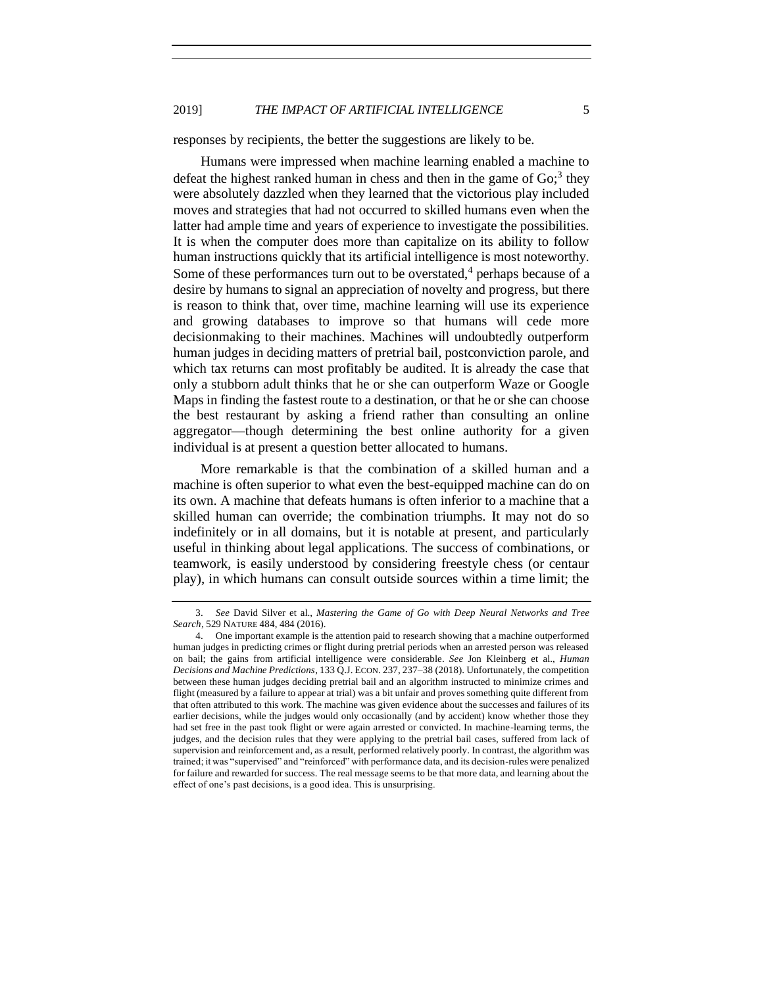# 2019] *THE IMPACT OF ARTIFICIAL INTELLIGENCE* 5

responses by recipients, the better the suggestions are likely to be.

Humans were impressed when machine learning enabled a machine to defeat the highest ranked human in chess and then in the game of  $Go<sup>3</sup>$ ; they were absolutely dazzled when they learned that the victorious play included moves and strategies that had not occurred to skilled humans even when the latter had ample time and years of experience to investigate the possibilities. It is when the computer does more than capitalize on its ability to follow human instructions quickly that its artificial intelligence is most noteworthy. Some of these performances turn out to be overstated, $4$  perhaps because of a desire by humans to signal an appreciation of novelty and progress, but there is reason to think that, over time, machine learning will use its experience and growing databases to improve so that humans will cede more decisionmaking to their machines. Machines will undoubtedly outperform human judges in deciding matters of pretrial bail, postconviction parole, and which tax returns can most profitably be audited. It is already the case that only a stubborn adult thinks that he or she can outperform Waze or Google Maps in finding the fastest route to a destination, or that he or she can choose the best restaurant by asking a friend rather than consulting an online aggregator—though determining the best online authority for a given individual is at present a question better allocated to humans.

More remarkable is that the combination of a skilled human and a machine is often superior to what even the best-equipped machine can do on its own. A machine that defeats humans is often inferior to a machine that a skilled human can override; the combination triumphs. It may not do so indefinitely or in all domains, but it is notable at present, and particularly useful in thinking about legal applications. The success of combinations, or teamwork, is easily understood by considering freestyle chess (or centaur play), in which humans can consult outside sources within a time limit; the

<span id="page-4-0"></span>

<sup>3.</sup> *See* David Silver et al., *Mastering the Game of Go with Deep Neural Networks and Tree Search*, 529 NATURE 484, 484 (2016).

<sup>4.</sup> One important example is the attention paid to research showing that a machine outperformed human judges in predicting crimes or flight during pretrial periods when an arrested person was released on bail; the gains from artificial intelligence were considerable. *See* Jon Kleinberg et al., *Human Decisions and Machine Predictions*, 133 Q.J. ECON. 237, 237–38 (2018). Unfortunately, the competition between these human judges deciding pretrial bail and an algorithm instructed to minimize crimes and flight (measured by a failure to appear at trial) was a bit unfair and proves something quite different from that often attributed to this work. The machine was given evidence about the successes and failures of its earlier decisions, while the judges would only occasionally (and by accident) know whether those they had set free in the past took flight or were again arrested or convicted. In machine-learning terms, the judges, and the decision rules that they were applying to the pretrial bail cases, suffered from lack of supervision and reinforcement and, as a result, performed relatively poorly. In contrast, the algorithm was trained; it was "supervised" and "reinforced" with performance data, and its decision-rules were penalized for failure and rewarded for success. The real message seems to be that more data, and learning about the effect of one's past decisions, is a good idea. This is unsurprising.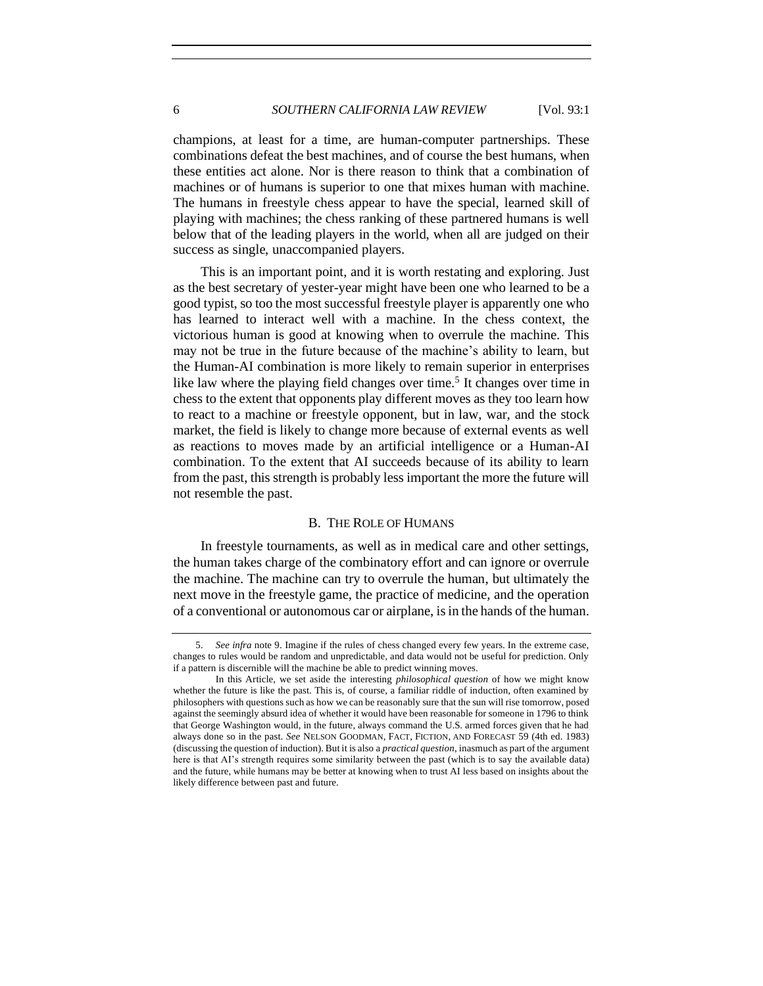champions, at least for a time, are human-computer partnerships. These combinations defeat the best machines, and of course the best humans, when these entities act alone. Nor is there reason to think that a combination of machines or of humans is superior to one that mixes human with machine. The humans in freestyle chess appear to have the special, learned skill of playing with machines; the chess ranking of these partnered humans is well below that of the leading players in the world, when all are judged on their success as single, unaccompanied players.

This is an important point, and it is worth restating and exploring. Just as the best secretary of yester-year might have been one who learned to be a good typist, so too the most successful freestyle player is apparently one who has learned to interact well with a machine. In the chess context, the victorious human is good at knowing when to overrule the machine. This may not be true in the future because of the machine's ability to learn, but the Human-AI combination is more likely to remain superior in enterprises like law where the playing field changes over time.<sup>5</sup> It changes over time in chess to the extent that opponents play different moves as they too learn how to react to a machine or freestyle opponent, but in law, war, and the stock market, the field is likely to change more because of external events as well as reactions to moves made by an artificial intelligence or a Human-AI combination. To the extent that AI succeeds because of its ability to learn from the past, this strength is probably less important the more the future will not resemble the past.

#### B. THE ROLE OF HUMANS

<span id="page-5-0"></span>In freestyle tournaments, as well as in medical care and other settings, the human takes charge of the combinatory effort and can ignore or overrule the machine. The machine can try to overrule the human, but ultimately the next move in the freestyle game, the practice of medicine, and the operation of a conventional or autonomous car or airplane, is in the hands of the human.

<sup>5.</sup> *See infra* not[e 9.](#page-7-1) Imagine if the rules of chess changed every few years. In the extreme case, changes to rules would be random and unpredictable, and data would not be useful for prediction. Only if a pattern is discernible will the machine be able to predict winning moves.

In this Article, we set aside the interesting *philosophical question* of how we might know whether the future is like the past. This is, of course, a familiar riddle of induction, often examined by philosophers with questions such as how we can be reasonably sure that the sun will rise tomorrow, posed against the seemingly absurd idea of whether it would have been reasonable for someone in 1796 to think that George Washington would, in the future, always command the U.S. armed forces given that he had always done so in the past. *See* NELSON GOODMAN, FACT, FICTION, AND FORECAST 59 (4th ed. 1983) (discussing the question of induction). But it is also a *practical question*, inasmuch as part of the argument here is that AI's strength requires some similarity between the past (which is to say the available data) and the future, while humans may be better at knowing when to trust AI less based on insights about the likely difference between past and future.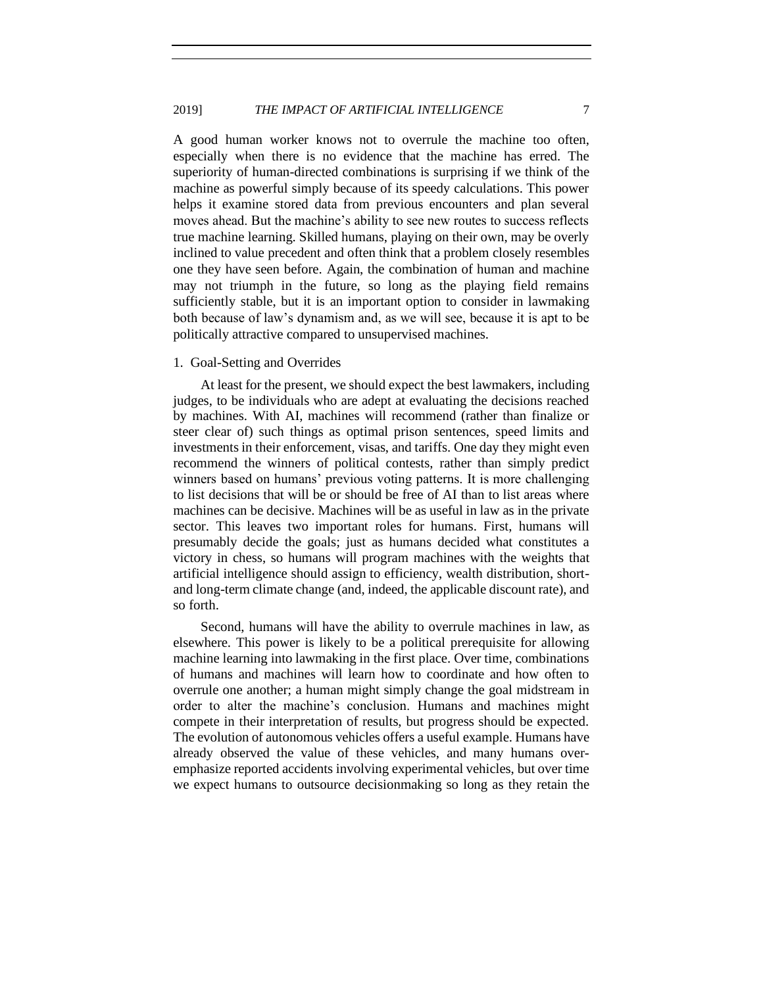A good human worker knows not to overrule the machine too often, especially when there is no evidence that the machine has erred. The superiority of human-directed combinations is surprising if we think of the machine as powerful simply because of its speedy calculations. This power helps it examine stored data from previous encounters and plan several moves ahead. But the machine's ability to see new routes to success reflects true machine learning. Skilled humans, playing on their own, may be overly inclined to value precedent and often think that a problem closely resembles one they have seen before. Again, the combination of human and machine may not triumph in the future, so long as the playing field remains sufficiently stable, but it is an important option to consider in lawmaking both because of law's dynamism and, as we will see, because it is apt to be politically attractive compared to unsupervised machines.

# <span id="page-6-0"></span>1. Goal-Setting and Overrides

At least for the present, we should expect the best lawmakers, including judges, to be individuals who are adept at evaluating the decisions reached by machines. With AI, machines will recommend (rather than finalize or steer clear of) such things as optimal prison sentences, speed limits and investments in their enforcement, visas, and tariffs. One day they might even recommend the winners of political contests, rather than simply predict winners based on humans' previous voting patterns. It is more challenging to list decisions that will be or should be free of AI than to list areas where machines can be decisive. Machines will be as useful in law as in the private sector. This leaves two important roles for humans. First, humans will presumably decide the goals; just as humans decided what constitutes a victory in chess, so humans will program machines with the weights that artificial intelligence should assign to efficiency, wealth distribution, shortand long-term climate change (and, indeed, the applicable discount rate), and so forth.

Second, humans will have the ability to overrule machines in law, as elsewhere. This power is likely to be a political prerequisite for allowing machine learning into lawmaking in the first place. Over time, combinations of humans and machines will learn how to coordinate and how often to overrule one another; a human might simply change the goal midstream in order to alter the machine's conclusion. Humans and machines might compete in their interpretation of results, but progress should be expected. The evolution of autonomous vehicles offers a useful example. Humans have already observed the value of these vehicles, and many humans overemphasize reported accidents involving experimental vehicles, but over time we expect humans to outsource decisionmaking so long as they retain the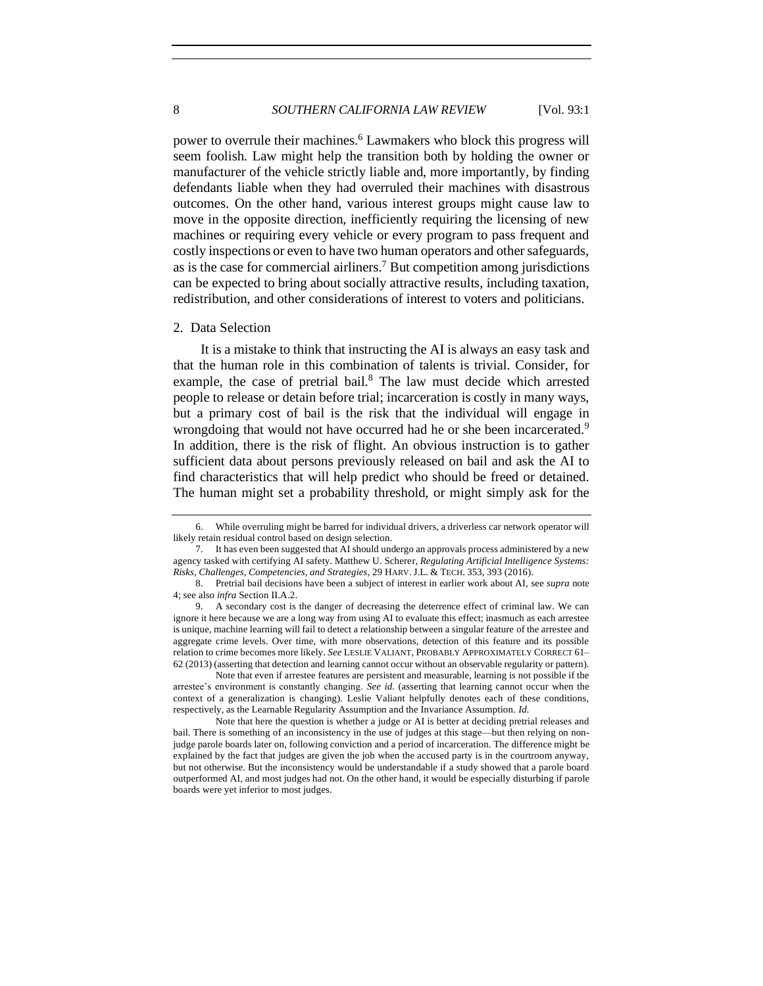power to overrule their machines.<sup>6</sup> Lawmakers who block this progress will seem foolish. Law might help the transition both by holding the owner or manufacturer of the vehicle strictly liable and, more importantly, by finding defendants liable when they had overruled their machines with disastrous outcomes. On the other hand, various interest groups might cause law to move in the opposite direction, inefficiently requiring the licensing of new machines or requiring every vehicle or every program to pass frequent and costly inspections or even to have two human operators and other safeguards, as is the case for commercial airliners.<sup>7</sup> But competition among jurisdictions can be expected to bring about socially attractive results, including taxation, redistribution, and other considerations of interest to voters and politicians.

#### <span id="page-7-0"></span>2. Data Selection

<span id="page-7-2"></span><span id="page-7-1"></span>It is a mistake to think that instructing the AI is always an easy task and that the human role in this combination of talents is trivial. Consider, for example, the case of pretrial bail.<sup>8</sup> The law must decide which arrested people to release or detain before trial; incarceration is costly in many ways, but a primary cost of bail is the risk that the individual will engage in wrongdoing that would not have occurred had he or she been incarcerated.<sup>9</sup> In addition, there is the risk of flight. An obvious instruction is to gather sufficient data about persons previously released on bail and ask the AI to find characteristics that will help predict who should be freed or detained. The human might set a probability threshold, or might simply ask for the

<sup>6.</sup> While overruling might be barred for individual drivers, a driverless car network operator will likely retain residual control based on design selection.

<sup>7.</sup> It has even been suggested that AI should undergo an approvals process administered by a new agency tasked with certifying AI safety. Matthew U. Scherer, *Regulating Artificial Intelligence Systems: Risks, Challenges, Competencies, and Strategies*, 29 HARV. J.L. & TECH. 353, 393 (2016).

<sup>8.</sup> Pretrial bail decisions have been a subject of interest in earlier work about AI, see *supra* note [4;](#page-4-0) see also *infra* Section II.A.2.

<sup>9.</sup> A secondary cost is the danger of decreasing the deterrence effect of criminal law. We can ignore it here because we are a long way from using AI to evaluate this effect; inasmuch as each arrestee is unique, machine learning will fail to detect a relationship between a singular feature of the arrestee and aggregate crime levels. Over time, with more observations, detection of this feature and its possible relation to crime becomes more likely. *See* LESLIE VALIANT, PROBABLY APPROXIMATELY CORRECT 61– 62 (2013) (asserting that detection and learning cannot occur without an observable regularity or pattern).

Note that even if arrestee features are persistent and measurable, learning is not possible if the arrestee's environment is constantly changing. *See id.* (asserting that learning cannot occur when the context of a generalization is changing). Leslie Valiant helpfully denotes each of these conditions, respectively, as the Learnable Regularity Assumption and the Invariance Assumption. *Id.*

Note that here the question is whether a judge or AI is better at deciding pretrial releases and bail. There is something of an inconsistency in the use of judges at this stage—but then relying on nonjudge parole boards later on, following conviction and a period of incarceration. The difference might be explained by the fact that judges are given the job when the accused party is in the courtroom anyway, but not otherwise. But the inconsistency would be understandable if a study showed that a parole board outperformed AI, and most judges had not. On the other hand, it would be especially disturbing if parole boards were yet inferior to most judges.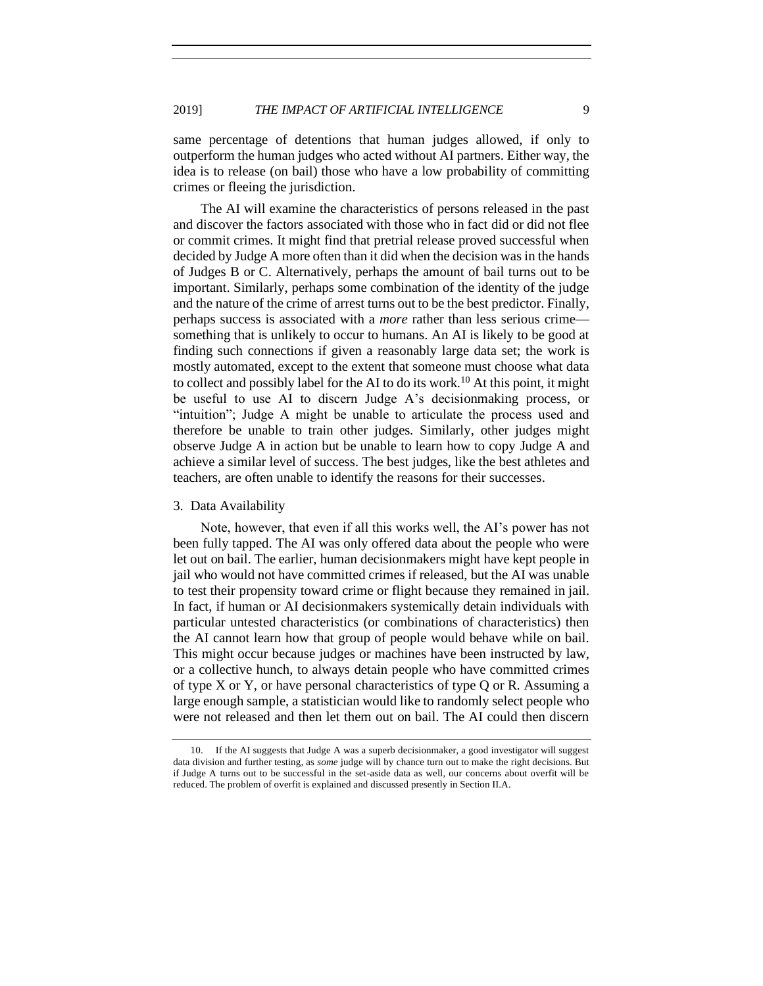same percentage of detentions that human judges allowed, if only to outperform the human judges who acted without AI partners. Either way, the idea is to release (on bail) those who have a low probability of committing crimes or fleeing the jurisdiction.

The AI will examine the characteristics of persons released in the past and discover the factors associated with those who in fact did or did not flee or commit crimes. It might find that pretrial release proved successful when decided by Judge A more often than it did when the decision was in the hands of Judges B or C. Alternatively, perhaps the amount of bail turns out to be important. Similarly, perhaps some combination of the identity of the judge and the nature of the crime of arrest turns out to be the best predictor. Finally, perhaps success is associated with a *more* rather than less serious crime something that is unlikely to occur to humans. An AI is likely to be good at finding such connections if given a reasonably large data set; the work is mostly automated, except to the extent that someone must choose what data to collect and possibly label for the AI to do its work.<sup>10</sup> At this point, it might be useful to use AI to discern Judge A's decisionmaking process, or "intuition"; Judge A might be unable to articulate the process used and therefore be unable to train other judges. Similarly, other judges might observe Judge A in action but be unable to learn how to copy Judge A and achieve a similar level of success. The best judges, like the best athletes and teachers, are often unable to identify the reasons for their successes.

# <span id="page-8-0"></span>3. Data Availability

Note, however, that even if all this works well, the AI's power has not been fully tapped. The AI was only offered data about the people who were let out on bail. The earlier, human decisionmakers might have kept people in jail who would not have committed crimes if released, but the AI was unable to test their propensity toward crime or flight because they remained in jail. In fact, if human or AI decisionmakers systemically detain individuals with particular untested characteristics (or combinations of characteristics) then the AI cannot learn how that group of people would behave while on bail. This might occur because judges or machines have been instructed by law, or a collective hunch, to always detain people who have committed crimes of type X or Y, or have personal characteristics of type Q or R. Assuming a large enough sample, a statistician would like to randomly select people who were not released and then let them out on bail. The AI could then discern

<sup>10.</sup> If the AI suggests that Judge A was a superb decisionmaker, a good investigator will suggest data division and further testing, as *some* judge will by chance turn out to make the right decisions. But if Judge A turns out to be successful in the set-aside data as well, our concerns about overfit will be reduced. The problem of overfit is explained and discussed presently in Section II.A.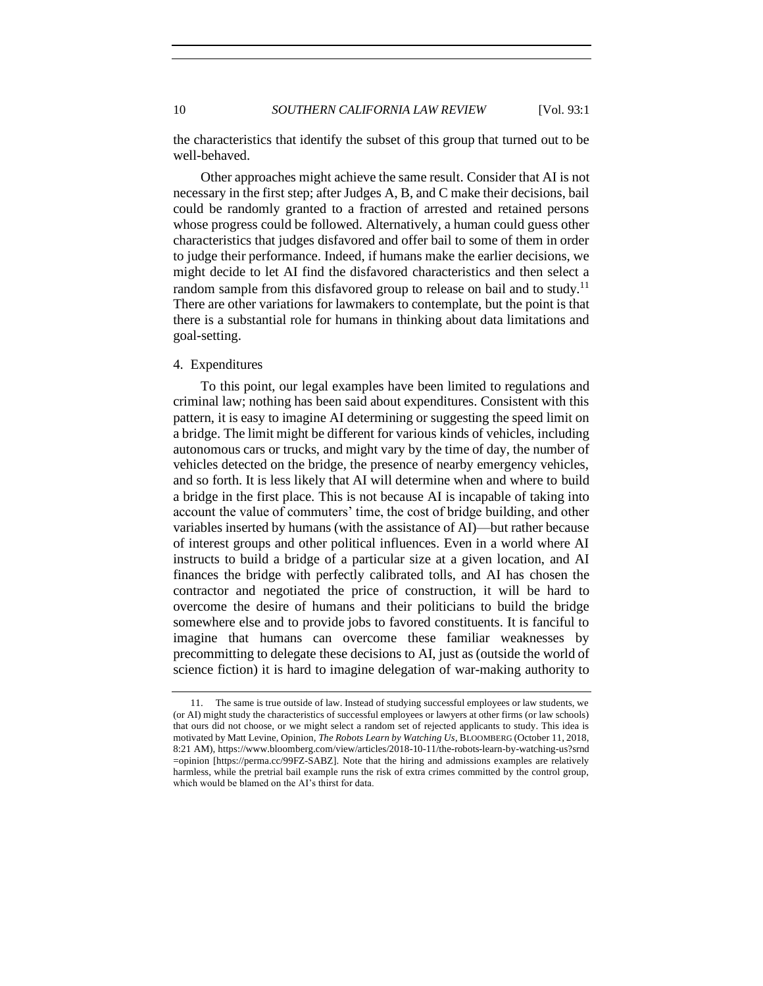10 *SOUTHERN CALIFORNIA LAW REVIEW* [Vol. 93:1]

the characteristics that identify the subset of this group that turned out to be well-behaved.

Other approaches might achieve the same result. Consider that AI is not necessary in the first step; after Judges A, B, and C make their decisions, bail could be randomly granted to a fraction of arrested and retained persons whose progress could be followed. Alternatively, a human could guess other characteristics that judges disfavored and offer bail to some of them in order to judge their performance. Indeed, if humans make the earlier decisions, we might decide to let AI find the disfavored characteristics and then select a random sample from this disfavored group to release on bail and to study.<sup>11</sup> There are other variations for lawmakers to contemplate, but the point is that there is a substantial role for humans in thinking about data limitations and goal-setting.

### <span id="page-9-0"></span>4. Expenditures

To this point, our legal examples have been limited to regulations and criminal law; nothing has been said about expenditures. Consistent with this pattern, it is easy to imagine AI determining or suggesting the speed limit on a bridge. The limit might be different for various kinds of vehicles, including autonomous cars or trucks, and might vary by the time of day, the number of vehicles detected on the bridge, the presence of nearby emergency vehicles, and so forth. It is less likely that AI will determine when and where to build a bridge in the first place. This is not because AI is incapable of taking into account the value of commuters' time, the cost of bridge building, and other variables inserted by humans (with the assistance of AI)—but rather because of interest groups and other political influences. Even in a world where AI instructs to build a bridge of a particular size at a given location, and AI finances the bridge with perfectly calibrated tolls, and AI has chosen the contractor and negotiated the price of construction, it will be hard to overcome the desire of humans and their politicians to build the bridge somewhere else and to provide jobs to favored constituents. It is fanciful to imagine that humans can overcome these familiar weaknesses by precommitting to delegate these decisions to AI, just as (outside the world of science fiction) it is hard to imagine delegation of war-making authority to

<sup>11.</sup> The same is true outside of law. Instead of studying successful employees or law students, we (or AI) might study the characteristics of successful employees or lawyers at other firms (or law schools) that ours did not choose, or we might select a random set of rejected applicants to study. This idea is motivated by Matt Levine, Opinion, *The Robots Learn by Watching Us*, BLOOMBERG (October 11, 2018, 8:21 AM), https://www.bloomberg.com/view/articles/2018-10-11/the-robots-learn-by-watching-us?srnd =opinion [https://perma.cc/99FZ-SABZ]. Note that the hiring and admissions examples are relatively harmless, while the pretrial bail example runs the risk of extra crimes committed by the control group, which would be blamed on the AI's thirst for data.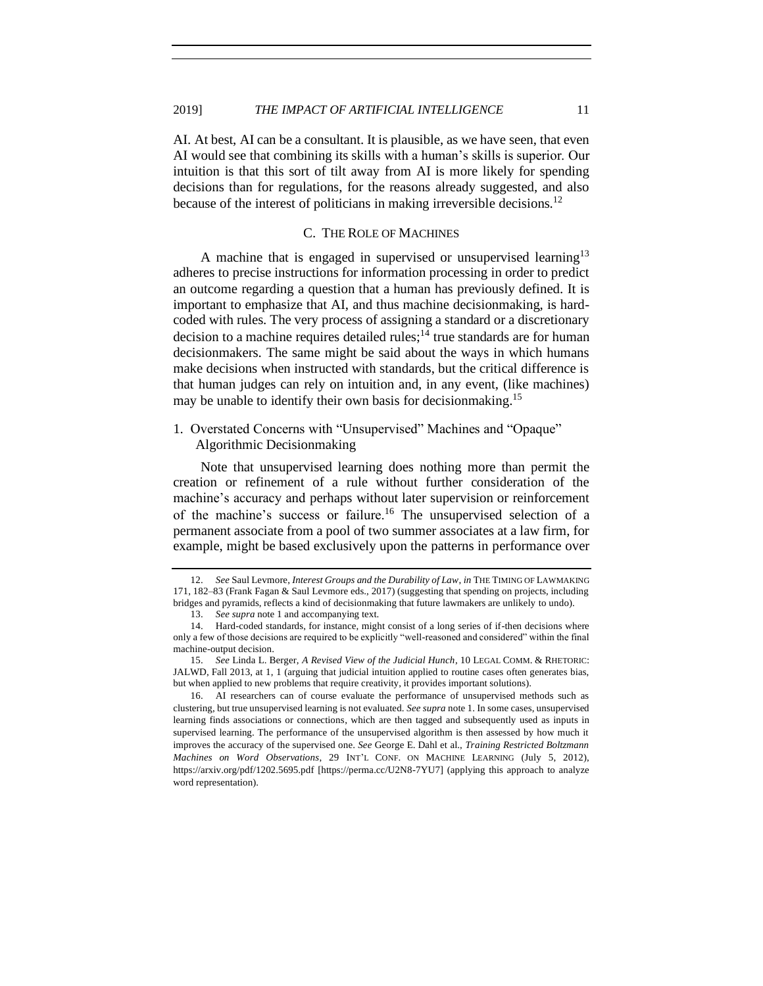AI. At best, AI can be a consultant. It is plausible, as we have seen, that even AI would see that combining its skills with a human's skills is superior. Our intuition is that this sort of tilt away from AI is more likely for spending decisions than for regulations, for the reasons already suggested, and also because of the interest of politicians in making irreversible decisions.<sup>12</sup>

# <span id="page-10-2"></span>C. THE ROLE OF MACHINES

<span id="page-10-0"></span>A machine that is engaged in supervised or unsupervised learning<sup>13</sup> adheres to precise instructions for information processing in order to predict an outcome regarding a question that a human has previously defined. It is important to emphasize that AI, and thus machine decisionmaking, is hardcoded with rules. The very process of assigning a standard or a discretionary decision to a machine requires detailed rules;<sup>14</sup> true standards are for human decisionmakers. The same might be said about the ways in which humans make decisions when instructed with standards, but the critical difference is that human judges can rely on intuition and, in any event, (like machines) may be unable to identify their own basis for decisionmaking.<sup>15</sup>

<span id="page-10-1"></span>1. Overstated Concerns with "Unsupervised" Machines and "Opaque" Algorithmic Decisionmaking

Note that unsupervised learning does nothing more than permit the creation or refinement of a rule without further consideration of the machine's accuracy and perhaps without later supervision or reinforcement of the machine's success or failure.<sup>16</sup> The unsupervised selection of a permanent associate from a pool of two summer associates at a law firm, for example, might be based exclusively upon the patterns in performance over

<sup>12.</sup> *See* Saul Levmore, *Interest Groups and the Durability of Law*, *in* THE TIMING OF LAWMAKING 171, 182–83 (Frank Fagan & Saul Levmore eds., 2017) (suggesting that spending on projects, including bridges and pyramids, reflects a kind of decisionmaking that future lawmakers are unlikely to undo).

<sup>13.</sup> *See supra* not[e 1](#page-3-0) and accompanying text.

<sup>14.</sup> Hard-coded standards, for instance, might consist of a long series of if-then decisions where only a few of those decisions are required to be explicitly "well-reasoned and considered" within the final machine-output decision.

<sup>15.</sup> *See* Linda L. Berger, *A Revised View of the Judicial Hunch*, 10 LEGAL COMM. & RHETORIC: JALWD, Fall 2013, at 1, 1 (arguing that judicial intuition applied to routine cases often generates bias, but when applied to new problems that require creativity, it provides important solutions).

<sup>16.</sup> AI researchers can of course evaluate the performance of unsupervised methods such as clustering, but true unsupervised learning is not evaluated. *See supra* not[e 1.](#page-3-0) In some cases, unsupervised learning finds associations or connections, which are then tagged and subsequently used as inputs in supervised learning. The performance of the unsupervised algorithm is then assessed by how much it improves the accuracy of the supervised one. *See* George E. Dahl et al., *Training Restricted Boltzmann Machines on Word Observations*, 29 INT'L CONF. ON MACHINE LEARNING (July 5, 2012), https://arxiv.org/pdf/1202.5695.pdf [https://perma.cc/U2N8-7YU7] (applying this approach to analyze word representation).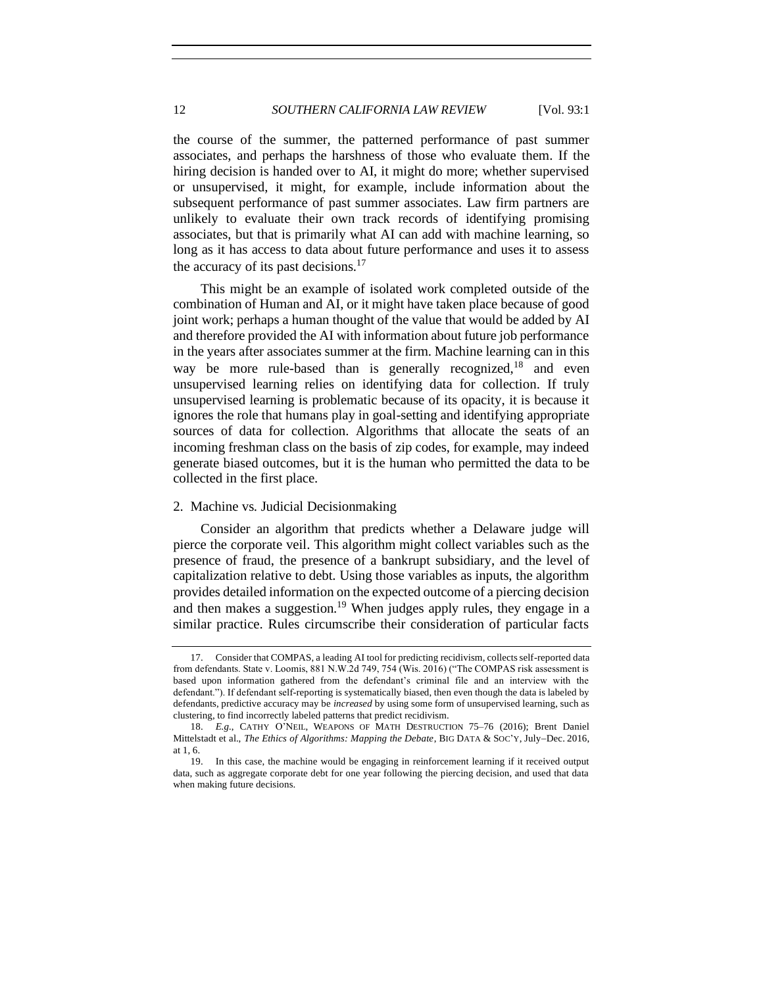the course of the summer, the patterned performance of past summer associates, and perhaps the harshness of those who evaluate them. If the hiring decision is handed over to AI, it might do more; whether supervised or unsupervised, it might, for example, include information about the subsequent performance of past summer associates. Law firm partners are unlikely to evaluate their own track records of identifying promising associates, but that is primarily what AI can add with machine learning, so long as it has access to data about future performance and uses it to assess the accuracy of its past decisions. $17$ 

This might be an example of isolated work completed outside of the combination of Human and AI, or it might have taken place because of good joint work; perhaps a human thought of the value that would be added by AI and therefore provided the AI with information about future job performance in the years after associates summer at the firm. Machine learning can in this way be more rule-based than is generally recognized,  $18$  and even unsupervised learning relies on identifying data for collection. If truly unsupervised learning is problematic because of its opacity, it is because it ignores the role that humans play in goal-setting and identifying appropriate sources of data for collection. Algorithms that allocate the seats of an incoming freshman class on the basis of zip codes, for example, may indeed generate biased outcomes, but it is the human who permitted the data to be collected in the first place.

# <span id="page-11-0"></span>2. Machine vs. Judicial Decisionmaking

Consider an algorithm that predicts whether a Delaware judge will pierce the corporate veil. This algorithm might collect variables such as the presence of fraud, the presence of a bankrupt subsidiary, and the level of capitalization relative to debt. Using those variables as inputs, the algorithm provides detailed information on the expected outcome of a piercing decision and then makes a suggestion.<sup>19</sup> When judges apply rules, they engage in a similar practice. Rules circumscribe their consideration of particular facts

<sup>17.</sup> Consider that COMPAS, a leading AI tool for predicting recidivism, collects self-reported data from defendants. State v. Loomis, 881 N.W.2d 749, 754 (Wis. 2016) ("The COMPAS risk assessment is based upon information gathered from the defendant's criminal file and an interview with the defendant."). If defendant self-reporting is systematically biased, then even though the data is labeled by defendants, predictive accuracy may be *increased* by using some form of unsupervised learning, such as clustering, to find incorrectly labeled patterns that predict recidivism.

<sup>18.</sup> *E.g.*, CATHY O'NEIL, WEAPONS OF MATH DESTRUCTION 75–76 (2016); Brent Daniel Mittelstadt et al., *The Ethics of Algorithms: Mapping the Debate*, BIG DATA & SOC'Y, July−Dec. 2016, at  $1, 6.$ <br>19.

<sup>19.</sup> In this case, the machine would be engaging in reinforcement learning if it received output data, such as aggregate corporate debt for one year following the piercing decision, and used that data when making future decisions.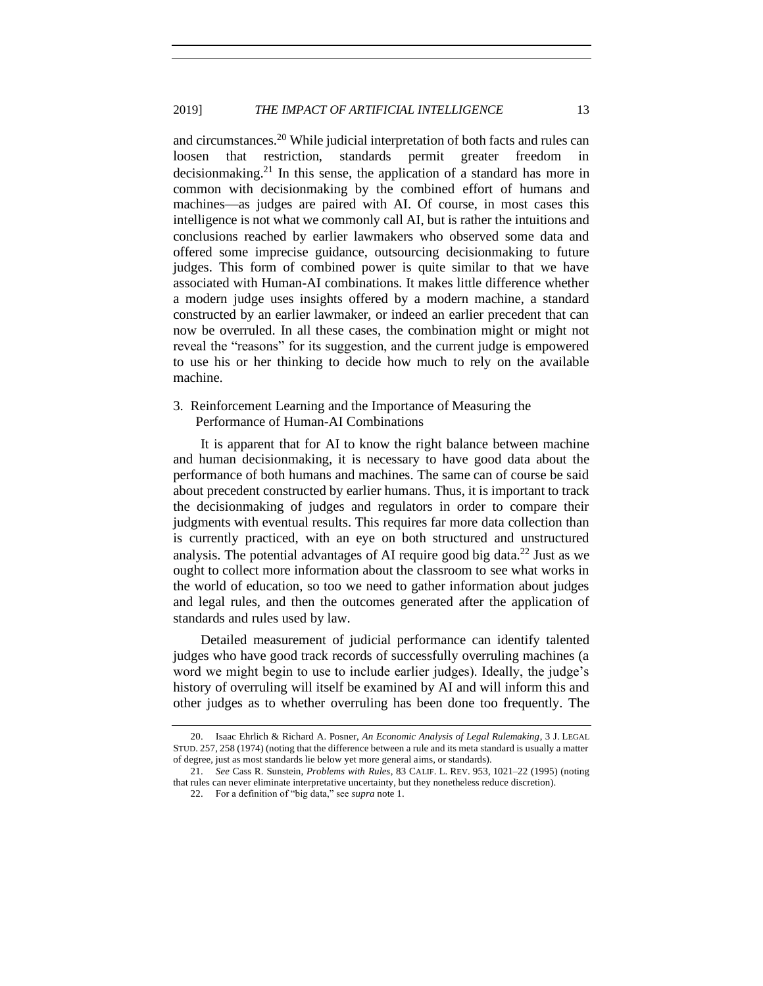<span id="page-12-1"></span>and circumstances.<sup>20</sup> While judicial interpretation of both facts and rules can loosen that restriction, standards permit greater freedom in decisionmaking.<sup>21</sup> In this sense, the application of a standard has more in common with decisionmaking by the combined effort of humans and machines—as judges are paired with AI. Of course, in most cases this intelligence is not what we commonly call AI, but is rather the intuitions and conclusions reached by earlier lawmakers who observed some data and offered some imprecise guidance, outsourcing decisionmaking to future judges. This form of combined power is quite similar to that we have associated with Human-AI combinations. It makes little difference whether a modern judge uses insights offered by a modern machine, a standard constructed by an earlier lawmaker, or indeed an earlier precedent that can now be overruled. In all these cases, the combination might or might not reveal the "reasons" for its suggestion, and the current judge is empowered to use his or her thinking to decide how much to rely on the available machine.

# <span id="page-12-0"></span>3. Reinforcement Learning and the Importance of Measuring the Performance of Human-AI Combinations

It is apparent that for AI to know the right balance between machine and human decisionmaking, it is necessary to have good data about the performance of both humans and machines. The same can of course be said about precedent constructed by earlier humans. Thus, it is important to track the decisionmaking of judges and regulators in order to compare their judgments with eventual results. This requires far more data collection than is currently practiced, with an eye on both structured and unstructured analysis. The potential advantages of AI require good big data. $^{22}$  Just as we ought to collect more information about the classroom to see what works in the world of education, so too we need to gather information about judges and legal rules, and then the outcomes generated after the application of standards and rules used by law.

Detailed measurement of judicial performance can identify talented judges who have good track records of successfully overruling machines (a word we might begin to use to include earlier judges). Ideally, the judge's history of overruling will itself be examined by AI and will inform this and other judges as to whether overruling has been done too frequently. The

<sup>20.</sup> Isaac Ehrlich & Richard A. Posner, *An Economic Analysis of Legal Rulemaking*, 3 J. LEGAL STUD. 257, 258 (1974) (noting that the difference between a rule and its meta standard is usually a matter of degree, just as most standards lie below yet more general aims, or standards).

<sup>21.</sup> *See* Cass R. Sunstein, *Problems with Rules*, 83 CALIF. L. REV. 953, 1021–22 (1995) (noting that rules can never eliminate interpretative uncertainty, but they nonetheless reduce discretion).

<sup>22.</sup> For a definition of "big data," see *supra* not[e 1.](#page-3-0)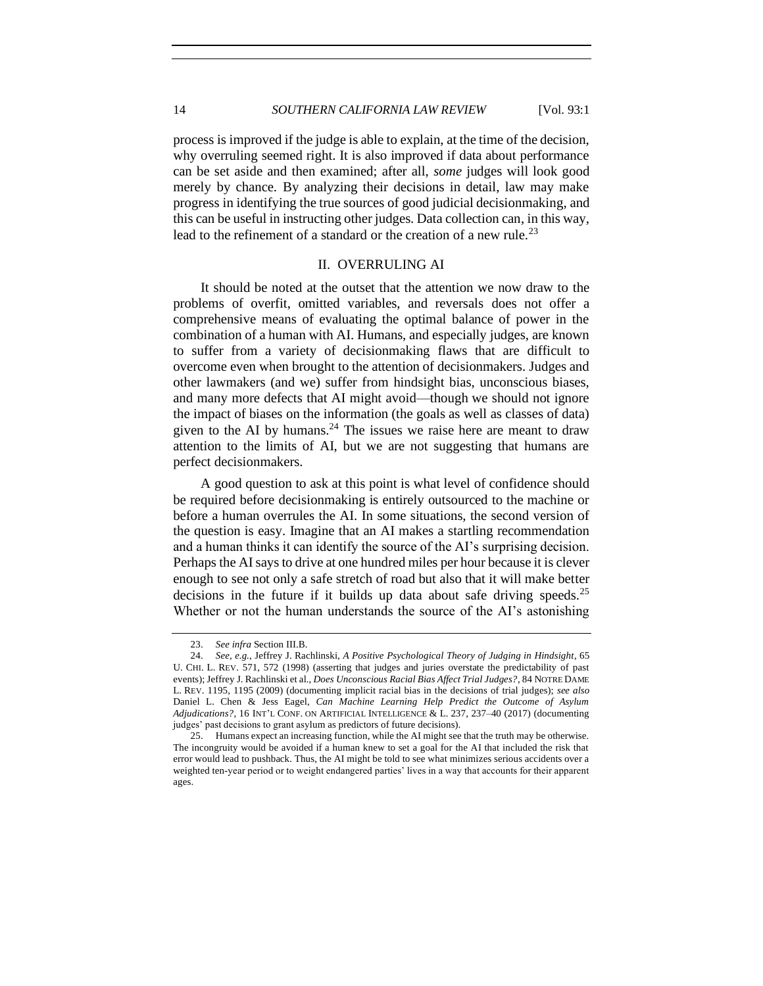14 *SOUTHERN CALIFORNIA LAW REVIEW* [Vol. 93:1

process is improved if the judge is able to explain, at the time of the decision, why overruling seemed right. It is also improved if data about performance can be set aside and then examined; after all, *some* judges will look good merely by chance. By analyzing their decisions in detail, law may make progress in identifying the true sources of good judicial decisionmaking, and this can be useful in instructing other judges. Data collection can, in this way, lead to the refinement of a standard or the creation of a new rule.<sup>23</sup>

#### II. OVERRULING AI

<span id="page-13-0"></span>It should be noted at the outset that the attention we now draw to the problems of overfit, omitted variables, and reversals does not offer a comprehensive means of evaluating the optimal balance of power in the combination of a human with AI. Humans, and especially judges, are known to suffer from a variety of decisionmaking flaws that are difficult to overcome even when brought to the attention of decisionmakers. Judges and other lawmakers (and we) suffer from hindsight bias, unconscious biases, and many more defects that AI might avoid—though we should not ignore the impact of biases on the information (the goals as well as classes of data) given to the AI by humans.<sup>24</sup> The issues we raise here are meant to draw attention to the limits of AI, but we are not suggesting that humans are perfect decisionmakers.

A good question to ask at this point is what level of confidence should be required before decisionmaking is entirely outsourced to the machine or before a human overrules the AI. In some situations, the second version of the question is easy. Imagine that an AI makes a startling recommendation and a human thinks it can identify the source of the AI's surprising decision. Perhaps the AI says to drive at one hundred miles per hour because it is clever enough to see not only a safe stretch of road but also that it will make better decisions in the future if it builds up data about safe driving speeds.<sup>25</sup> Whether or not the human understands the source of the AI's astonishing

<sup>23.</sup> *See infra* Section III.B.

<sup>24.</sup> *See, e.g.*, Jeffrey J. Rachlinski, *A Positive Psychological Theory of Judging in Hindsight*, 65 U. CHI. L. REV. 571, 572 (1998) (asserting that judges and juries overstate the predictability of past events); Jeffrey J. Rachlinski et al., *Does Unconscious Racial Bias Affect Trial Judges?*, 84 NOTRE DAME L. REV. 1195, 1195 (2009) (documenting implicit racial bias in the decisions of trial judges); *see also* Daniel L. Chen & Jess Eagel, *Can Machine Learning Help Predict the Outcome of Asylum Adjudications?*, 16 INT'L CONF. ON ARTIFICIAL INTELLIGENCE & L. 237, 237–40 (2017) (documenting judges' past decisions to grant asylum as predictors of future decisions).

<sup>25.</sup> Humans expect an increasing function, while the AI might see that the truth may be otherwise. The incongruity would be avoided if a human knew to set a goal for the AI that included the risk that error would lead to pushback. Thus, the AI might be told to see what minimizes serious accidents over a weighted ten-year period or to weight endangered parties' lives in a way that accounts for their apparent ages.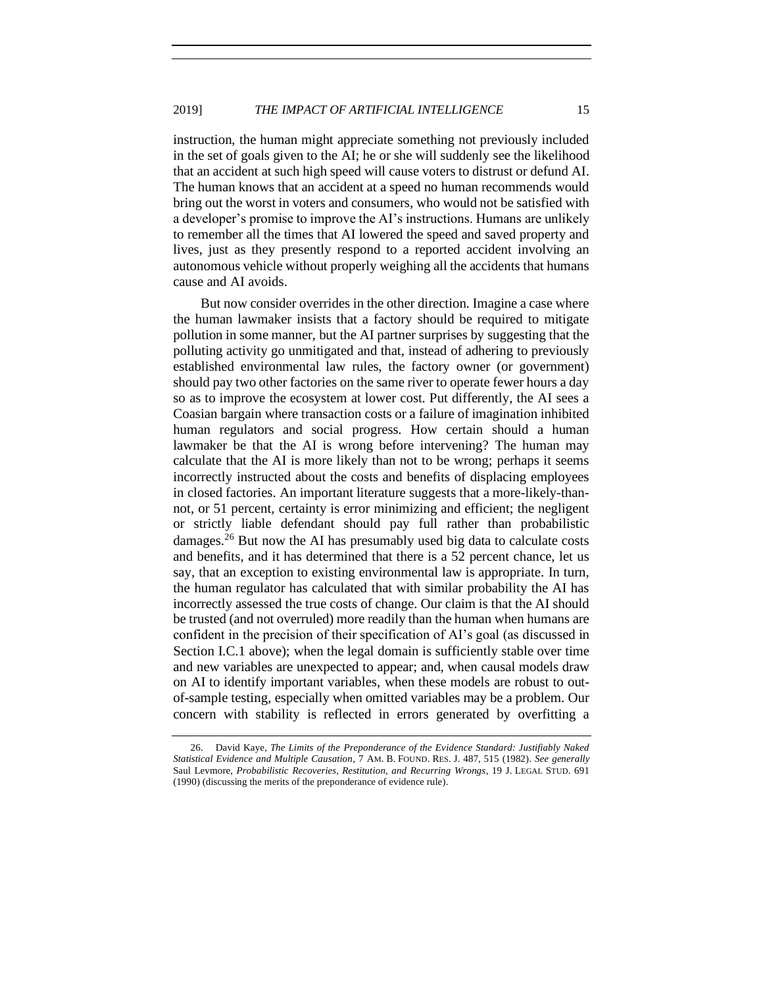instruction, the human might appreciate something not previously included in the set of goals given to the AI; he or she will suddenly see the likelihood that an accident at such high speed will cause voters to distrust or defund AI. The human knows that an accident at a speed no human recommends would bring out the worst in voters and consumers, who would not be satisfied with a developer's promise to improve the AI's instructions. Humans are unlikely to remember all the times that AI lowered the speed and saved property and lives, just as they presently respond to a reported accident involving an autonomous vehicle without properly weighing all the accidents that humans cause and AI avoids.

But now consider overrides in the other direction. Imagine a case where the human lawmaker insists that a factory should be required to mitigate pollution in some manner, but the AI partner surprises by suggesting that the polluting activity go unmitigated and that, instead of adhering to previously established environmental law rules, the factory owner (or government) should pay two other factories on the same river to operate fewer hours a day so as to improve the ecosystem at lower cost. Put differently, the AI sees a Coasian bargain where transaction costs or a failure of imagination inhibited human regulators and social progress. How certain should a human lawmaker be that the AI is wrong before intervening? The human may calculate that the AI is more likely than not to be wrong; perhaps it seems incorrectly instructed about the costs and benefits of displacing employees in closed factories. An important literature suggests that a more-likely-thannot, or 51 percent, certainty is error minimizing and efficient; the negligent or strictly liable defendant should pay full rather than probabilistic damages.<sup>26</sup> But now the AI has presumably used big data to calculate costs and benefits, and it has determined that there is a 52 percent chance, let us say, that an exception to existing environmental law is appropriate. In turn, the human regulator has calculated that with similar probability the AI has incorrectly assessed the true costs of change. Our claim is that the AI should be trusted (and not overruled) more readily than the human when humans are confident in the precision of their specification of AI's goal (as discussed in Section I.C.1 above); when the legal domain is sufficiently stable over time and new variables are unexpected to appear; and, when causal models draw on AI to identify important variables, when these models are robust to outof-sample testing, especially when omitted variables may be a problem. Our concern with stability is reflected in errors generated by overfitting a

<sup>26.</sup> David Kaye, *The Limits of the Preponderance of the Evidence Standard: Justifiably Naked Statistical Evidence and Multiple Causation*, 7 AM. B. FOUND. RES. J. 487, 515 (1982). *See generally* Saul Levmore, *Probabilistic Recoveries, Restitution, and Recurring Wrongs*, 19 J. LEGAL STUD. 691 (1990) (discussing the merits of the preponderance of evidence rule).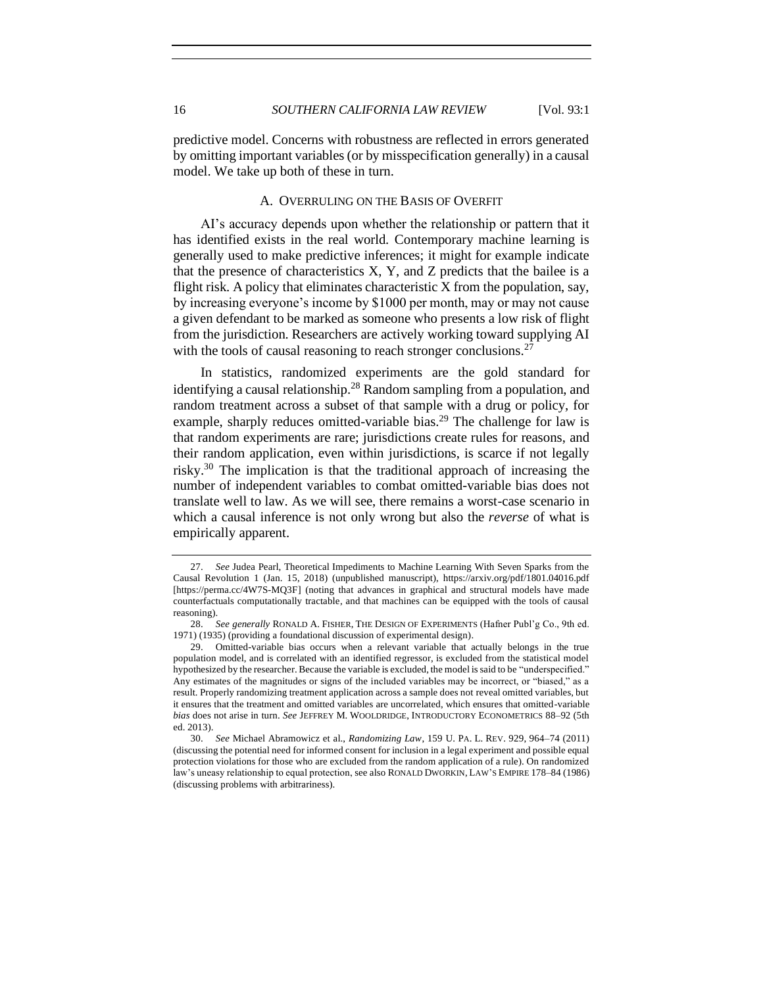predictive model. Concerns with robustness are reflected in errors generated by omitting important variables (or by misspecification generally) in a causal model. We take up both of these in turn.

# A. OVERRULING ON THE BASIS OF OVERFIT

<span id="page-15-0"></span>AI's accuracy depends upon whether the relationship or pattern that it has identified exists in the real world. Contemporary machine learning is generally used to make predictive inferences; it might for example indicate that the presence of characteristics  $X$ ,  $Y$ , and  $Z$  predicts that the bailee is a flight risk. A policy that eliminates characteristic X from the population, say, by increasing everyone's income by \$1000 per month, may or may not cause a given defendant to be marked as someone who presents a low risk of flight from the jurisdiction. Researchers are actively working toward supplying AI with the tools of causal reasoning to reach stronger conclusions.<sup>27</sup>

In statistics, randomized experiments are the gold standard for identifying a causal relationship.<sup>28</sup> Random sampling from a population, and random treatment across a subset of that sample with a drug or policy, for example, sharply reduces omitted-variable bias.<sup>29</sup> The challenge for law is that random experiments are rare; jurisdictions create rules for reasons, and their random application, even within jurisdictions, is scarce if not legally risky.<sup>30</sup> The implication is that the traditional approach of increasing the number of independent variables to combat omitted-variable bias does not translate well to law. As we will see, there remains a worst-case scenario in which a causal inference is not only wrong but also the *reverse* of what is empirically apparent.

<sup>27.</sup> *See* Judea Pearl, Theoretical Impediments to Machine Learning With Seven Sparks from the Causal Revolution 1 (Jan. 15, 2018) (unpublished manuscript), https://arxiv.org/pdf/1801.04016.pdf [https://perma.cc/4W7S-MQ3F] (noting that advances in graphical and structural models have made counterfactuals computationally tractable, and that machines can be equipped with the tools of causal reasoning).

<sup>28.</sup> *See generally* RONALD A. FISHER, THE DESIGN OF EXPERIMENTS (Hafner Publ'g Co., 9th ed. 1971) (1935) (providing a foundational discussion of experimental design).

<sup>29.</sup> Omitted-variable bias occurs when a relevant variable that actually belongs in the true population model, and is correlated with an identified regressor, is excluded from the statistical model hypothesized by the researcher. Because the variable is excluded, the model is said to be "underspecified." Any estimates of the magnitudes or signs of the included variables may be incorrect, or "biased," as a result. Properly randomizing treatment application across a sample does not reveal omitted variables, but it ensures that the treatment and omitted variables are uncorrelated, which ensures that omitted-variable *bias* does not arise in turn. *See* JEFFREY M. WOOLDRIDGE, INTRODUCTORY ECONOMETRICS 88–92 (5th ed. 2013).

<sup>30.</sup> *See* Michael Abramowicz et al., *Randomizing Law*, 159 U. PA. L. REV. 929, 964–74 (2011) (discussing the potential need for informed consent for inclusion in a legal experiment and possible equal protection violations for those who are excluded from the random application of a rule). On randomized law's uneasy relationship to equal protection, see also RONALD DWORKIN, LAW'S EMPIRE 178–84 (1986) (discussing problems with arbitrariness).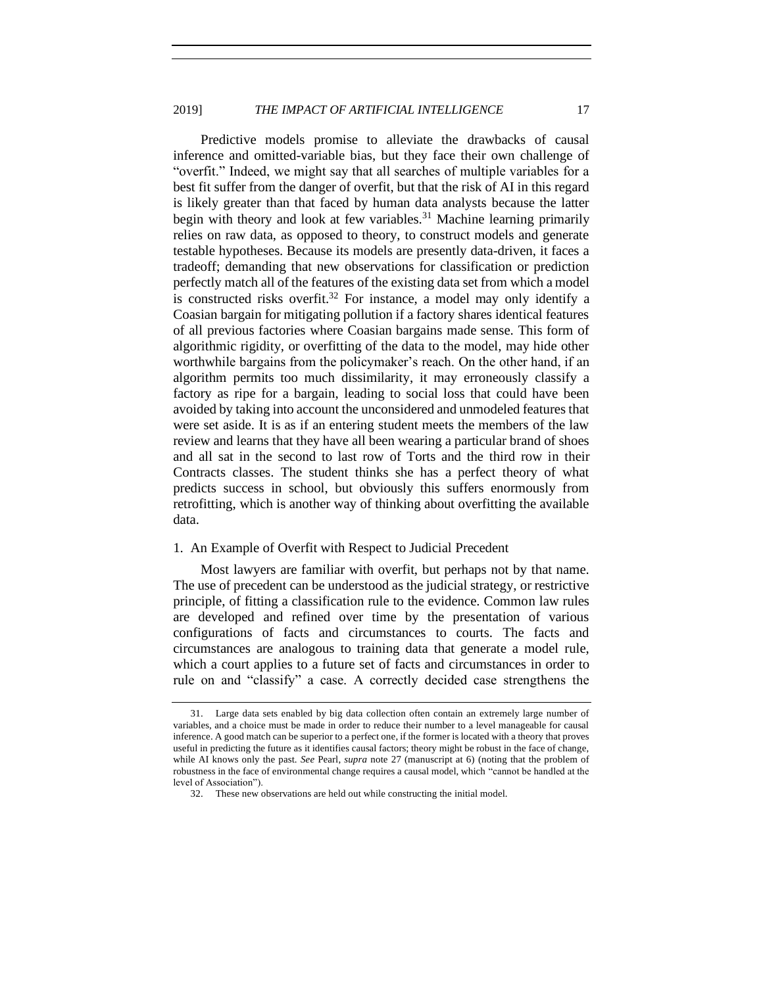Predictive models promise to alleviate the drawbacks of causal inference and omitted-variable bias, but they face their own challenge of "overfit." Indeed, we might say that all searches of multiple variables for a best fit suffer from the danger of overfit, but that the risk of AI in this regard is likely greater than that faced by human data analysts because the latter begin with theory and look at few variables.<sup>31</sup> Machine learning primarily relies on raw data, as opposed to theory, to construct models and generate testable hypotheses. Because its models are presently data-driven, it faces a tradeoff; demanding that new observations for classification or prediction perfectly match all of the features of the existing data set from which a model is constructed risks overfit. <sup>32</sup> For instance, a model may only identify a Coasian bargain for mitigating pollution if a factory shares identical features of all previous factories where Coasian bargains made sense. This form of algorithmic rigidity, or overfitting of the data to the model, may hide other worthwhile bargains from the policymaker's reach. On the other hand, if an algorithm permits too much dissimilarity, it may erroneously classify a factory as ripe for a bargain, leading to social loss that could have been avoided by taking into account the unconsidered and unmodeled features that were set aside. It is as if an entering student meets the members of the law review and learns that they have all been wearing a particular brand of shoes and all sat in the second to last row of Torts and the third row in their Contracts classes. The student thinks she has a perfect theory of what predicts success in school, but obviously this suffers enormously from retrofitting, which is another way of thinking about overfitting the available data.

#### <span id="page-16-0"></span>1. An Example of Overfit with Respect to Judicial Precedent

Most lawyers are familiar with overfit, but perhaps not by that name. The use of precedent can be understood as the judicial strategy, or restrictive principle, of fitting a classification rule to the evidence. Common law rules are developed and refined over time by the presentation of various configurations of facts and circumstances to courts. The facts and circumstances are analogous to training data that generate a model rule, which a court applies to a future set of facts and circumstances in order to rule on and "classify" a case. A correctly decided case strengthens the

<sup>31.</sup> Large data sets enabled by big data collection often contain an extremely large number of variables, and a choice must be made in order to reduce their number to a level manageable for causal inference. A good match can be superior to a perfect one, if the former is located with a theory that proves useful in predicting the future as it identifies causal factors; theory might be robust in the face of change, while AI knows only the past. *See Pearl, supra note 27* (manuscript at 6) (noting that the problem of robustness in the face of environmental change requires a causal model, which "cannot be handled at the level of Association").

<sup>32.</sup> These new observations are held out while constructing the initial model.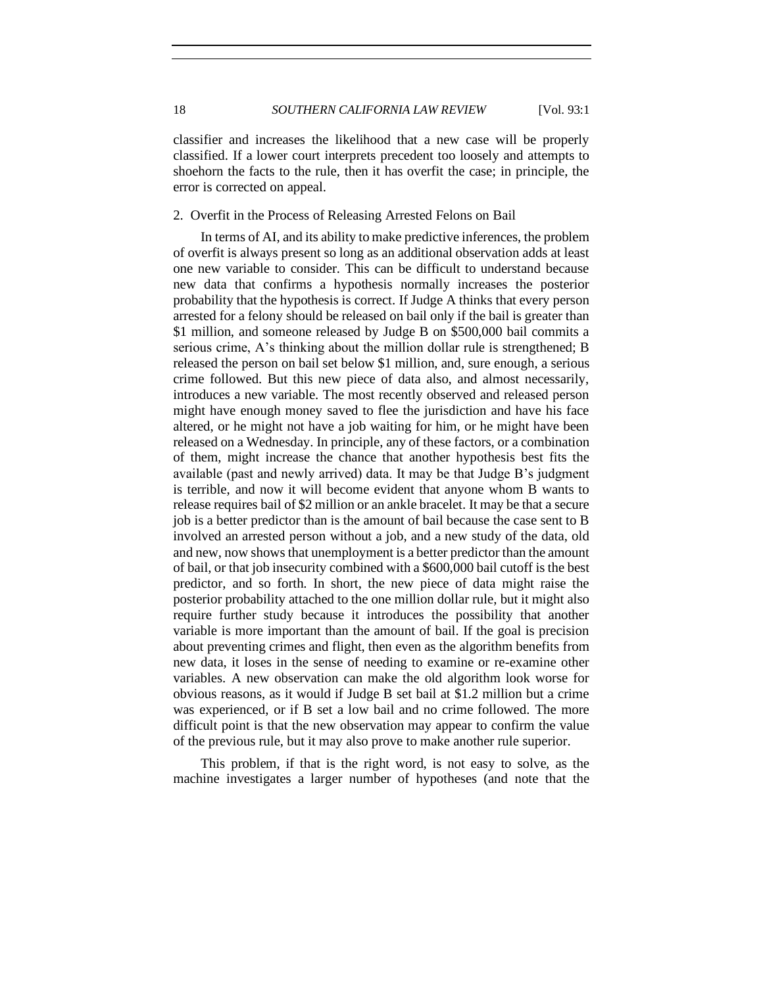classifier and increases the likelihood that a new case will be properly classified. If a lower court interprets precedent too loosely and attempts to shoehorn the facts to the rule, then it has overfit the case; in principle, the error is corrected on appeal.

#### <span id="page-17-0"></span>2. Overfit in the Process of Releasing Arrested Felons on Bail

In terms of AI, and its ability to make predictive inferences, the problem of overfit is always present so long as an additional observation adds at least one new variable to consider. This can be difficult to understand because new data that confirms a hypothesis normally increases the posterior probability that the hypothesis is correct. If Judge A thinks that every person arrested for a felony should be released on bail only if the bail is greater than \$1 million, and someone released by Judge B on \$500,000 bail commits a serious crime, A's thinking about the million dollar rule is strengthened; B released the person on bail set below \$1 million, and, sure enough, a serious crime followed. But this new piece of data also, and almost necessarily, introduces a new variable. The most recently observed and released person might have enough money saved to flee the jurisdiction and have his face altered, or he might not have a job waiting for him, or he might have been released on a Wednesday. In principle, any of these factors, or a combination of them, might increase the chance that another hypothesis best fits the available (past and newly arrived) data. It may be that Judge B's judgment is terrible, and now it will become evident that anyone whom B wants to release requires bail of \$2 million or an ankle bracelet. It may be that a secure job is a better predictor than is the amount of bail because the case sent to B involved an arrested person without a job, and a new study of the data, old and new, now shows that unemployment is a better predictor than the amount of bail, or that job insecurity combined with a \$600,000 bail cutoff is the best predictor, and so forth. In short, the new piece of data might raise the posterior probability attached to the one million dollar rule, but it might also require further study because it introduces the possibility that another variable is more important than the amount of bail. If the goal is precision about preventing crimes and flight, then even as the algorithm benefits from new data, it loses in the sense of needing to examine or re-examine other variables. A new observation can make the old algorithm look worse for obvious reasons, as it would if Judge B set bail at \$1.2 million but a crime was experienced, or if B set a low bail and no crime followed. The more difficult point is that the new observation may appear to confirm the value of the previous rule, but it may also prove to make another rule superior.

This problem, if that is the right word, is not easy to solve, as the machine investigates a larger number of hypotheses (and note that the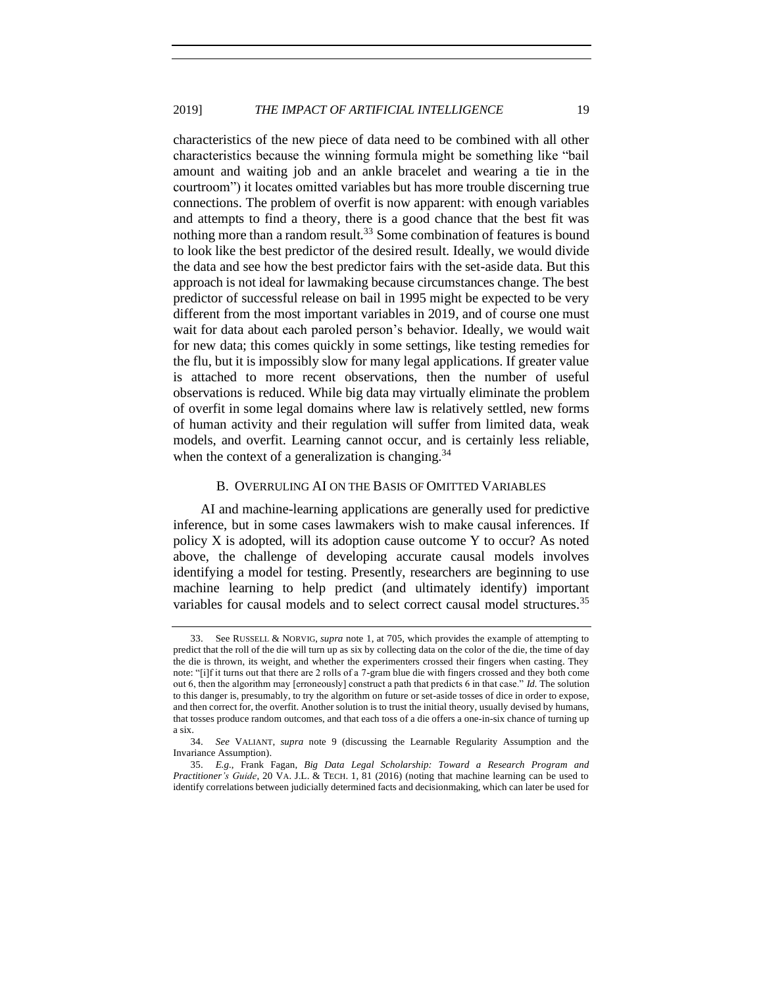characteristics of the new piece of data need to be combined with all other characteristics because the winning formula might be something like "bail amount and waiting job and an ankle bracelet and wearing a tie in the courtroom") it locates omitted variables but has more trouble discerning true connections. The problem of overfit is now apparent: with enough variables and attempts to find a theory, there is a good chance that the best fit was nothing more than a random result.<sup>33</sup> Some combination of features is bound to look like the best predictor of the desired result. Ideally, we would divide the data and see how the best predictor fairs with the set-aside data. But this approach is not ideal for lawmaking because circumstances change. The best predictor of successful release on bail in 1995 might be expected to be very different from the most important variables in 2019, and of course one must wait for data about each paroled person's behavior. Ideally, we would wait for new data; this comes quickly in some settings, like testing remedies for the flu, but it is impossibly slow for many legal applications. If greater value is attached to more recent observations, then the number of useful observations is reduced. While big data may virtually eliminate the problem of overfit in some legal domains where law is relatively settled, new forms of human activity and their regulation will suffer from limited data, weak models, and overfit. Learning cannot occur, and is certainly less reliable, when the context of a generalization is changing.  $34$ 

# <span id="page-18-1"></span>B. OVERRULING AI ON THE BASIS OF OMITTED VARIABLES

<span id="page-18-0"></span>AI and machine-learning applications are generally used for predictive inference, but in some cases lawmakers wish to make causal inferences. If policy  $X$  is adopted, will its adoption cause outcome  $Y$  to occur? As noted above, the challenge of developing accurate causal models involves identifying a model for testing. Presently, researchers are beginning to use machine learning to help predict (and ultimately identify) important variables for causal models and to select correct causal model structures.<sup>35</sup>

<sup>33.</sup> See RUSSELL & NORVIG, *supra* note [1,](#page-3-0) at 705, which provides the example of attempting to predict that the roll of the die will turn up as six by collecting data on the color of the die, the time of day the die is thrown, its weight, and whether the experimenters crossed their fingers when casting. They note: "[i]f it turns out that there are 2 rolls of a 7-gram blue die with fingers crossed and they both come out 6, then the algorithm may [erroneously] construct a path that predicts 6 in that case." *Id.* The solution to this danger is, presumably, to try the algorithm on future or set-aside tosses of dice in order to expose, and then correct for, the overfit. Another solution is to trust the initial theory, usually devised by humans, that tosses produce random outcomes, and that each toss of a die offers a one-in-six chance of turning up a six.

<sup>34.</sup> *See* VALIANT, *supra* note [9](#page-7-1) (discussing the Learnable Regularity Assumption and the Invariance Assumption).

<sup>35.</sup> *E.g.*, Frank Fagan, *Big Data Legal Scholarship: Toward a Research Program and Practitioner's Guide*, 20 VA. J.L. & TECH. 1, 81 (2016) (noting that machine learning can be used to identify correlations between judicially determined facts and decisionmaking, which can later be used for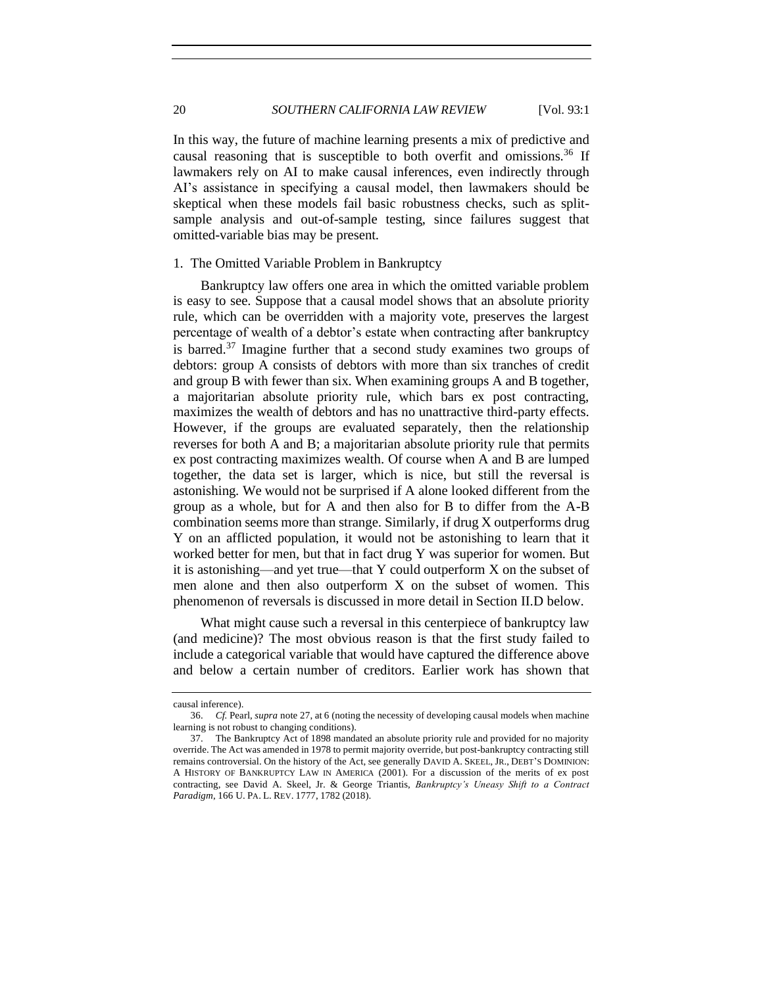In this way, the future of machine learning presents a mix of predictive and causal reasoning that is susceptible to both overfit and omissions.<sup>36</sup> If lawmakers rely on AI to make causal inferences, even indirectly through AI's assistance in specifying a causal model, then lawmakers should be skeptical when these models fail basic robustness checks, such as splitsample analysis and out-of-sample testing, since failures suggest that omitted-variable bias may be present.

### <span id="page-19-0"></span>1. The Omitted Variable Problem in Bankruptcy

Bankruptcy law offers one area in which the omitted variable problem is easy to see. Suppose that a causal model shows that an absolute priority rule, which can be overridden with a majority vote, preserves the largest percentage of wealth of a debtor's estate when contracting after bankruptcy is barred. $37$  Imagine further that a second study examines two groups of debtors: group A consists of debtors with more than six tranches of credit and group B with fewer than six. When examining groups A and B together, a majoritarian absolute priority rule, which bars ex post contracting, maximizes the wealth of debtors and has no unattractive third-party effects. However, if the groups are evaluated separately, then the relationship reverses for both A and B; a majoritarian absolute priority rule that permits ex post contracting maximizes wealth. Of course when A and B are lumped together, the data set is larger, which is nice, but still the reversal is astonishing. We would not be surprised if A alone looked different from the group as a whole, but for A and then also for B to differ from the A-B combination seems more than strange. Similarly, if drug X outperforms drug Y on an afflicted population, it would not be astonishing to learn that it worked better for men, but that in fact drug Y was superior for women. But it is astonishing—and yet true—that Y could outperform X on the subset of men alone and then also outperform X on the subset of women. This phenomenon of reversals is discussed in more detail in Section II.D below.

What might cause such a reversal in this centerpiece of bankruptcy law (and medicine)? The most obvious reason is that the first study failed to include a categorical variable that would have captured the difference above and below a certain number of creditors. Earlier work has shown that

causal inference).

<sup>36.</sup> *Cf.* Pearl, *supra* note 27, at 6 (noting the necessity of developing causal models when machine learning is not robust to changing conditions).

<sup>37.</sup> The Bankruptcy Act of 1898 mandated an absolute priority rule and provided for no majority override. The Act was amended in 1978 to permit majority override, but post-bankruptcy contracting still remains controversial. On the history of the Act, see generally DAVID A. SKEEL, JR., DEBT'S DOMINION: A HISTORY OF BANKRUPTCY LAW IN AMERICA (2001). For a discussion of the merits of ex post contracting, see David A. Skeel, Jr. & George Triantis, *Bankruptcy's Uneasy Shift to a Contract Paradigm*, 166 U. PA. L. REV. 1777, 1782 (2018).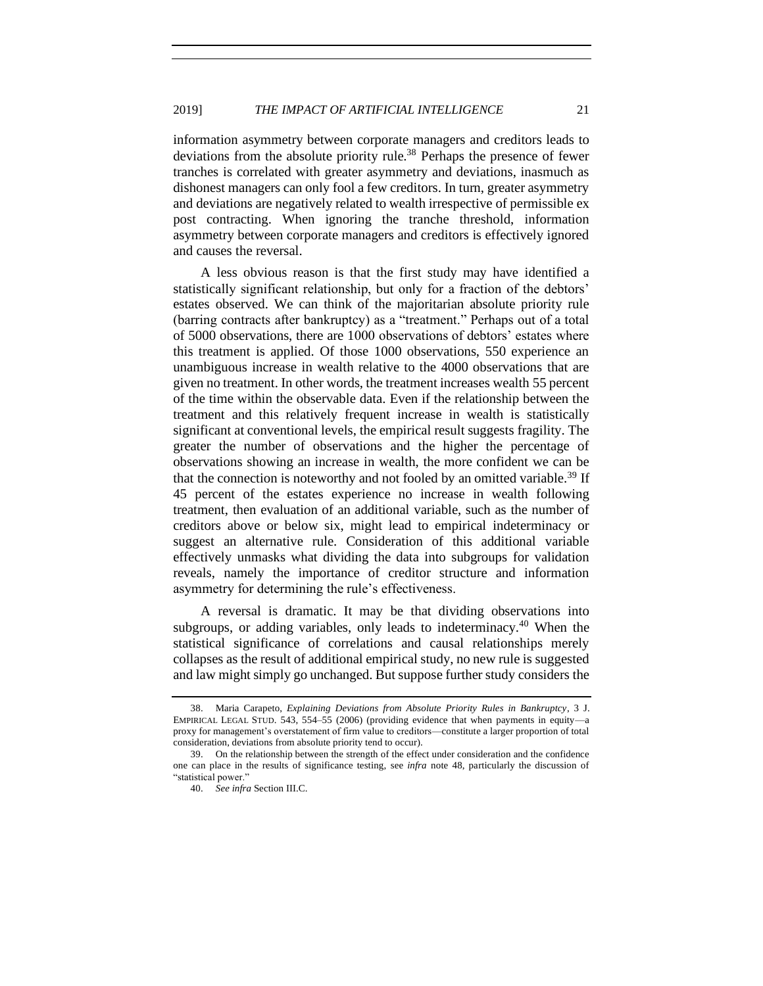information asymmetry between corporate managers and creditors leads to deviations from the absolute priority rule.<sup>38</sup> Perhaps the presence of fewer tranches is correlated with greater asymmetry and deviations, inasmuch as dishonest managers can only fool a few creditors. In turn, greater asymmetry and deviations are negatively related to wealth irrespective of permissible ex post contracting. When ignoring the tranche threshold, information asymmetry between corporate managers and creditors is effectively ignored and causes the reversal.

A less obvious reason is that the first study may have identified a statistically significant relationship, but only for a fraction of the debtors' estates observed. We can think of the majoritarian absolute priority rule (barring contracts after bankruptcy) as a "treatment." Perhaps out of a total of 5000 observations, there are 1000 observations of debtors' estates where this treatment is applied. Of those 1000 observations, 550 experience an unambiguous increase in wealth relative to the 4000 observations that are given no treatment. In other words, the treatment increases wealth 55 percent of the time within the observable data. Even if the relationship between the treatment and this relatively frequent increase in wealth is statistically significant at conventional levels, the empirical result suggests fragility. The greater the number of observations and the higher the percentage of observations showing an increase in wealth, the more confident we can be that the connection is noteworthy and not fooled by an omitted variable.<sup>39</sup> If 45 percent of the estates experience no increase in wealth following treatment, then evaluation of an additional variable, such as the number of creditors above or below six, might lead to empirical indeterminacy or suggest an alternative rule. Consideration of this additional variable effectively unmasks what dividing the data into subgroups for validation reveals, namely the importance of creditor structure and information asymmetry for determining the rule's effectiveness.

A reversal is dramatic. It may be that dividing observations into subgroups, or adding variables, only leads to indeterminacy.<sup>40</sup> When the statistical significance of correlations and causal relationships merely collapses as the result of additional empirical study, no new rule is suggested and law might simply go unchanged. But suppose further study considers the

<sup>38.</sup> Maria Carapeto, *Explaining Deviations from Absolute Priority Rules in Bankruptcy*, 3 J. EMPIRICAL LEGAL STUD. 543, 554–55 (2006) (providing evidence that when payments in equity—a proxy for management's overstatement of firm value to creditors—constitute a larger proportion of total consideration, deviations from absolute priority tend to occur).

<sup>39.</sup> On the relationship between the strength of the effect under consideration and the confidence one can place in the results of significance testing, see *infra* note [48,](#page-24-1) particularly the discussion of "statistical power."

<sup>40.</sup> *See infra* Section III.C.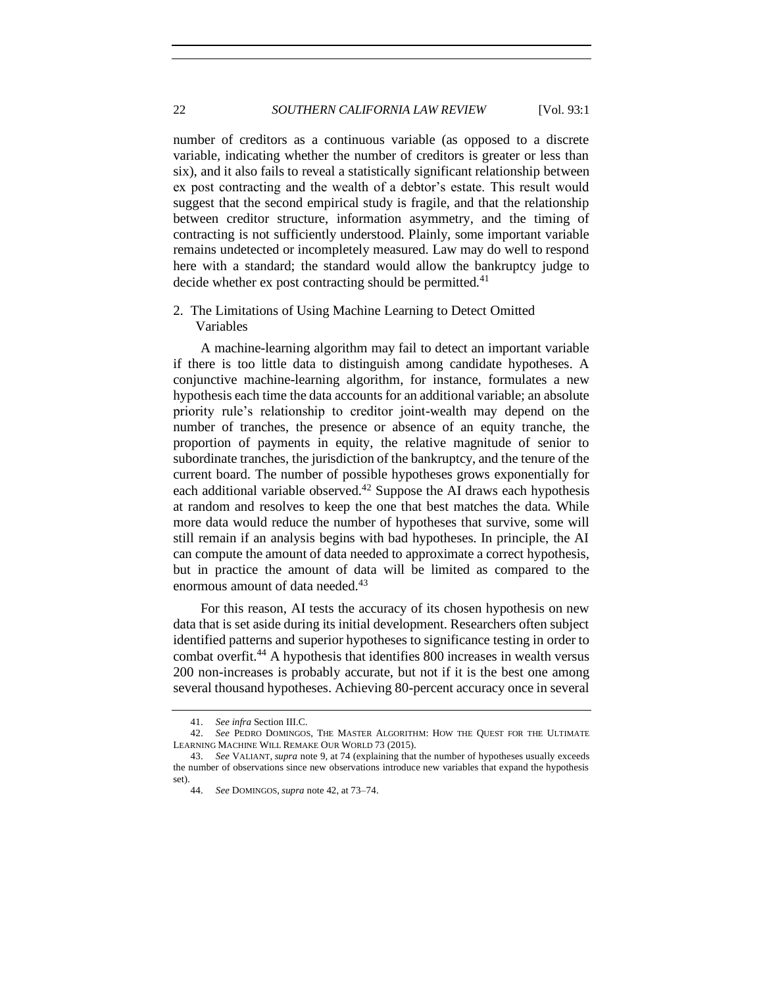number of creditors as a continuous variable (as opposed to a discrete variable, indicating whether the number of creditors is greater or less than six), and it also fails to reveal a statistically significant relationship between ex post contracting and the wealth of a debtor's estate. This result would suggest that the second empirical study is fragile, and that the relationship between creditor structure, information asymmetry, and the timing of contracting is not sufficiently understood. Plainly, some important variable remains undetected or incompletely measured. Law may do well to respond here with a standard; the standard would allow the bankruptcy judge to decide whether ex post contracting should be permitted.<sup>41</sup>

<span id="page-21-0"></span>2. The Limitations of Using Machine Learning to Detect Omitted Variables

A machine-learning algorithm may fail to detect an important variable if there is too little data to distinguish among candidate hypotheses. A conjunctive machine-learning algorithm, for instance, formulates a new hypothesis each time the data accounts for an additional variable; an absolute priority rule's relationship to creditor joint-wealth may depend on the number of tranches, the presence or absence of an equity tranche, the proportion of payments in equity, the relative magnitude of senior to subordinate tranches, the jurisdiction of the bankruptcy, and the tenure of the current board. The number of possible hypotheses grows exponentially for each additional variable observed.<sup>42</sup> Suppose the AI draws each hypothesis at random and resolves to keep the one that best matches the data. While more data would reduce the number of hypotheses that survive, some will still remain if an analysis begins with bad hypotheses. In principle, the AI can compute the amount of data needed to approximate a correct hypothesis, but in practice the amount of data will be limited as compared to the enormous amount of data needed. 43

<span id="page-21-1"></span>For this reason, AI tests the accuracy of its chosen hypothesis on new data that is set aside during its initial development. Researchers often subject identified patterns and superior hypotheses to significance testing in order to combat overfit.<sup>44</sup> A hypothesis that identifies 800 increases in wealth versus 200 non-increases is probably accurate, but not if it is the best one among several thousand hypotheses. Achieving 80-percent accuracy once in several

<sup>41.</sup> *See infra* Section III.C.

<sup>42.</sup> *See* PEDRO DOMINGOS, THE MASTER ALGORITHM: HOW THE QUEST FOR THE ULTIMATE LEARNING MACHINE WILL REMAKE OUR WORLD 73 (2015).

<sup>43.</sup> *See* VALIANT, *supra* note [9,](#page-7-1) at 74 (explaining that the number of hypotheses usually exceeds the number of observations since new observations introduce new variables that expand the hypothesis set).

<sup>44.</sup> *See* DOMINGOS, *supra* not[e 42,](#page-21-1) at 73–74.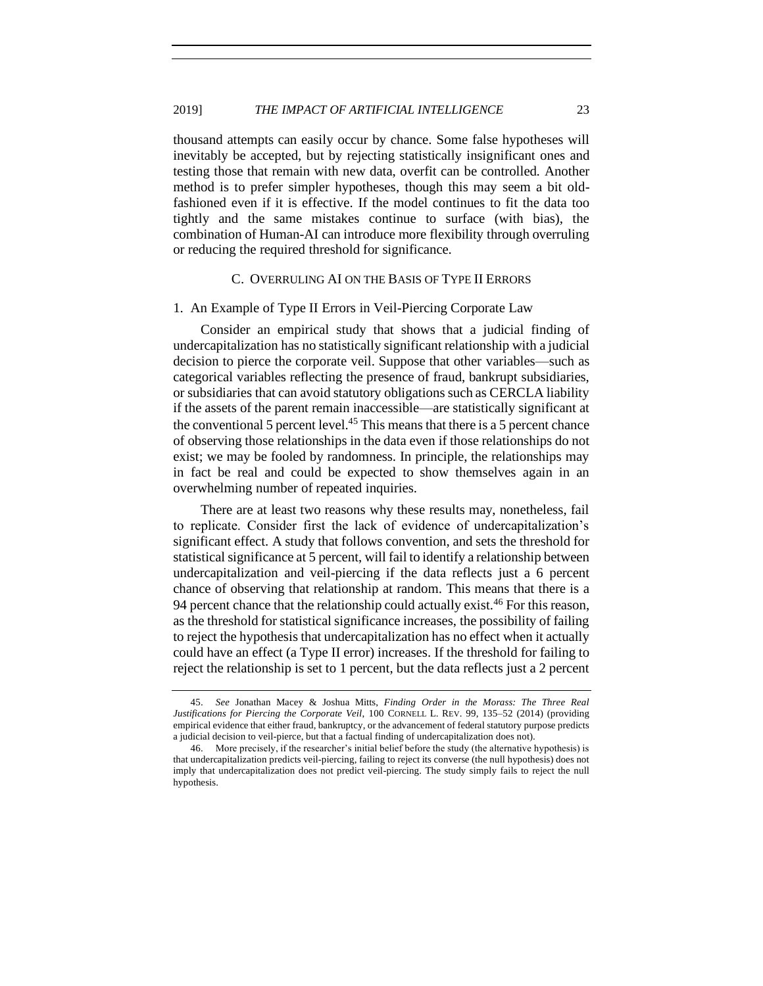thousand attempts can easily occur by chance. Some false hypotheses will inevitably be accepted, but by rejecting statistically insignificant ones and testing those that remain with new data, overfit can be controlled. Another method is to prefer simpler hypotheses, though this may seem a bit oldfashioned even if it is effective. If the model continues to fit the data too tightly and the same mistakes continue to surface (with bias), the combination of Human-AI can introduce more flexibility through overruling or reducing the required threshold for significance.

#### C. OVERRULING AI ON THE BASIS OF TYPE II ERRORS

#### <span id="page-22-1"></span><span id="page-22-0"></span>1. An Example of Type II Errors in Veil-Piercing Corporate Law

Consider an empirical study that shows that a judicial finding of undercapitalization has no statistically significant relationship with a judicial decision to pierce the corporate veil. Suppose that other variables—such as categorical variables reflecting the presence of fraud, bankrupt subsidiaries, or subsidiaries that can avoid statutory obligations such as CERCLA liability if the assets of the parent remain inaccessible—are statistically significant at the conventional 5 percent level.<sup>45</sup> This means that there is a 5 percent chance of observing those relationships in the data even if those relationships do not exist; we may be fooled by randomness. In principle, the relationships may in fact be real and could be expected to show themselves again in an overwhelming number of repeated inquiries.

There are at least two reasons why these results may, nonetheless, fail to replicate. Consider first the lack of evidence of undercapitalization's significant effect. A study that follows convention, and sets the threshold for statistical significance at 5 percent, will fail to identify a relationship between undercapitalization and veil-piercing if the data reflects just a 6 percent chance of observing that relationship at random. This means that there is a 94 percent chance that the relationship could actually exist.<sup>46</sup> For this reason, as the threshold for statistical significance increases, the possibility of failing to reject the hypothesis that undercapitalization has no effect when it actually could have an effect (a Type II error) increases. If the threshold for failing to reject the relationship is set to 1 percent, but the data reflects just a 2 percent

<sup>45.</sup> *See* Jonathan Macey & Joshua Mitts, *Finding Order in the Morass: The Three Real Justifications for Piercing the Corporate Veil*, 100 CORNELL L. REV. 99, 135–52 (2014) (providing empirical evidence that either fraud, bankruptcy, or the advancement of federal statutory purpose predicts a judicial decision to veil-pierce, but that a factual finding of undercapitalization does not).

<sup>46.</sup> More precisely, if the researcher's initial belief before the study (the alternative hypothesis) is that undercapitalization predicts veil-piercing, failing to reject its converse (the null hypothesis) does not imply that undercapitalization does not predict veil-piercing. The study simply fails to reject the null hypothesis.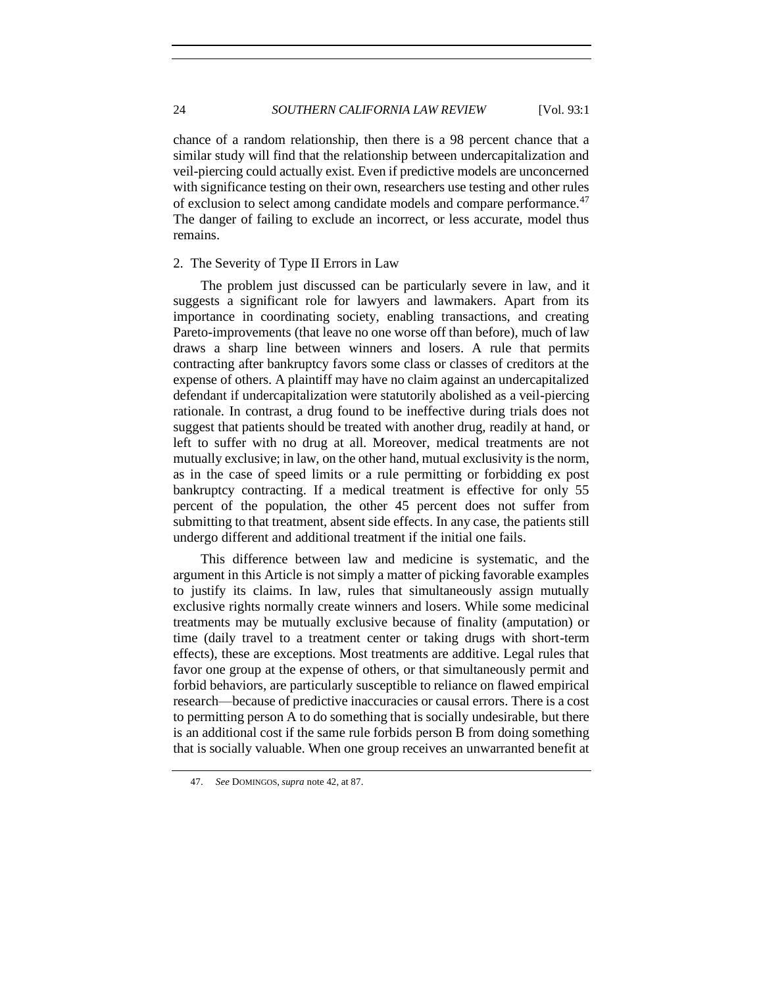chance of a random relationship, then there is a 98 percent chance that a similar study will find that the relationship between undercapitalization and veil-piercing could actually exist. Even if predictive models are unconcerned with significance testing on their own, researchers use testing and other rules of exclusion to select among candidate models and compare performance.<sup>47</sup> The danger of failing to exclude an incorrect, or less accurate, model thus remains.

# <span id="page-23-0"></span>2. The Severity of Type II Errors in Law

The problem just discussed can be particularly severe in law, and it suggests a significant role for lawyers and lawmakers. Apart from its importance in coordinating society, enabling transactions, and creating Pareto-improvements (that leave no one worse off than before), much of law draws a sharp line between winners and losers. A rule that permits contracting after bankruptcy favors some class or classes of creditors at the expense of others. A plaintiff may have no claim against an undercapitalized defendant if undercapitalization were statutorily abolished as a veil-piercing rationale. In contrast, a drug found to be ineffective during trials does not suggest that patients should be treated with another drug, readily at hand, or left to suffer with no drug at all. Moreover, medical treatments are not mutually exclusive; in law, on the other hand, mutual exclusivity is the norm, as in the case of speed limits or a rule permitting or forbidding ex post bankruptcy contracting. If a medical treatment is effective for only 55 percent of the population, the other 45 percent does not suffer from submitting to that treatment, absent side effects. In any case, the patients still undergo different and additional treatment if the initial one fails.

This difference between law and medicine is systematic, and the argument in this Article is not simply a matter of picking favorable examples to justify its claims. In law, rules that simultaneously assign mutually exclusive rights normally create winners and losers. While some medicinal treatments may be mutually exclusive because of finality (amputation) or time (daily travel to a treatment center or taking drugs with short-term effects), these are exceptions. Most treatments are additive. Legal rules that favor one group at the expense of others, or that simultaneously permit and forbid behaviors, are particularly susceptible to reliance on flawed empirical research—because of predictive inaccuracies or causal errors. There is a cost to permitting person A to do something that is socially undesirable, but there is an additional cost if the same rule forbids person B from doing something that is socially valuable. When one group receives an unwarranted benefit at

<sup>47.</sup> *See* DOMINGOS, *supra* not[e 42,](#page-21-1) at 87.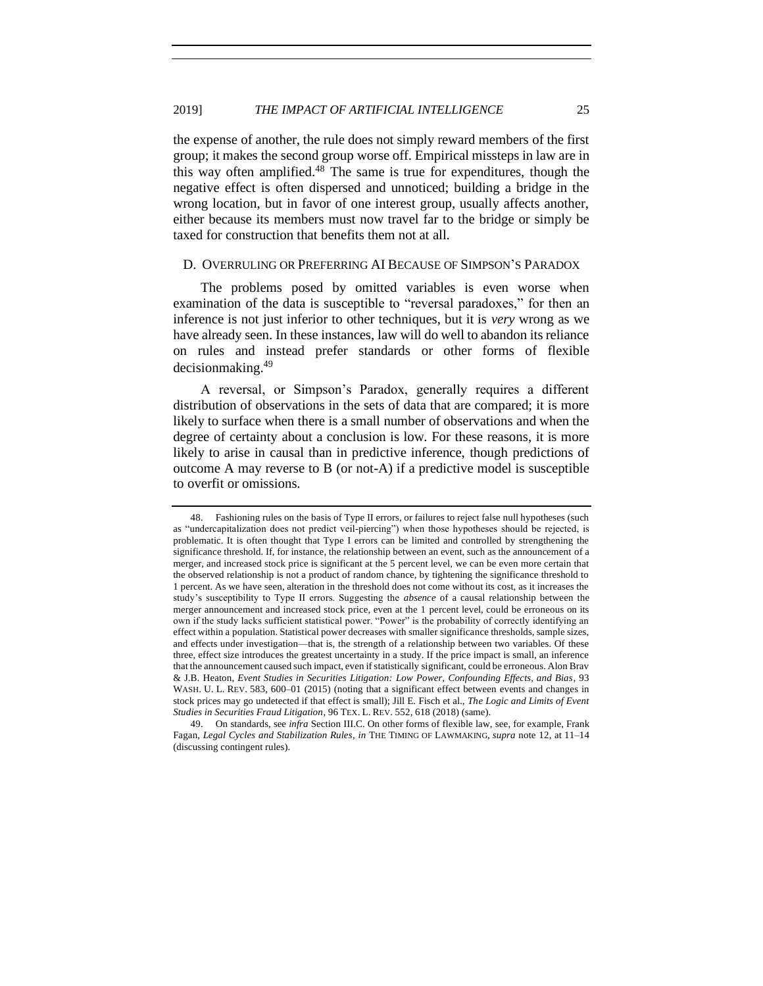<span id="page-24-1"></span>the expense of another, the rule does not simply reward members of the first group; it makes the second group worse off. Empirical missteps in law are in this way often amplified.<sup>48</sup> The same is true for expenditures, though the negative effect is often dispersed and unnoticed; building a bridge in the wrong location, but in favor of one interest group, usually affects another, either because its members must now travel far to the bridge or simply be taxed for construction that benefits them not at all.

#### <span id="page-24-0"></span>D. OVERRULING OR PREFERRING AI BECAUSE OF SIMPSON'S PARADOX

The problems posed by omitted variables is even worse when examination of the data is susceptible to "reversal paradoxes," for then an inference is not just inferior to other techniques, but it is *very* wrong as we have already seen. In these instances, law will do well to abandon its reliance on rules and instead prefer standards or other forms of flexible decisionmaking.<sup>49</sup>

A reversal, or Simpson's Paradox, generally requires a different distribution of observations in the sets of data that are compared; it is more likely to surface when there is a small number of observations and when the degree of certainty about a conclusion is low. For these reasons, it is more likely to arise in causal than in predictive inference, though predictions of outcome A may reverse to B (or not-A) if a predictive model is susceptible to overfit or omissions.

<sup>48.</sup> Fashioning rules on the basis of Type II errors, or failures to reject false null hypotheses (such as "undercapitalization does not predict veil-piercing") when those hypotheses should be rejected, is problematic. It is often thought that Type I errors can be limited and controlled by strengthening the significance threshold. If, for instance, the relationship between an event, such as the announcement of a merger, and increased stock price is significant at the 5 percent level, we can be even more certain that the observed relationship is not a product of random chance, by tightening the significance threshold to 1 percent. As we have seen, alteration in the threshold does not come without its cost, as it increases the study's susceptibility to Type II errors. Suggesting the *absence* of a causal relationship between the merger announcement and increased stock price, even at the 1 percent level, could be erroneous on its own if the study lacks sufficient statistical power. "Power" is the probability of correctly identifying an effect within a population. Statistical power decreases with smaller significance thresholds, sample sizes, and effects under investigation—that is, the strength of a relationship between two variables. Of these three, effect size introduces the greatest uncertainty in a study. If the price impact is small, an inference that the announcement caused such impact, even if statistically significant, could be erroneous. Alon Brav & J.B. Heaton, *Event Studies in Securities Litigation: Low Power, Confounding Effects, and Bias*, 93 WASH. U. L. REV. 583, 600-01 (2015) (noting that a significant effect between events and changes in stock prices may go undetected if that effect is small); Jill E. Fisch et al., *The Logic and Limits of Event Studies in Securities Fraud Litigation*, 96 TEX. L. REV. 552, 618 (2018) (same).

<sup>49.</sup> On standards, see *infra* Section III.C. On other forms of flexible law, see, for example, Frank Fagan, *Legal Cycles and Stabilization Rules*, *in* THE TIMING OF LAWMAKING, *supra* not[e 12,](#page-10-2) at 11–14 (discussing contingent rules).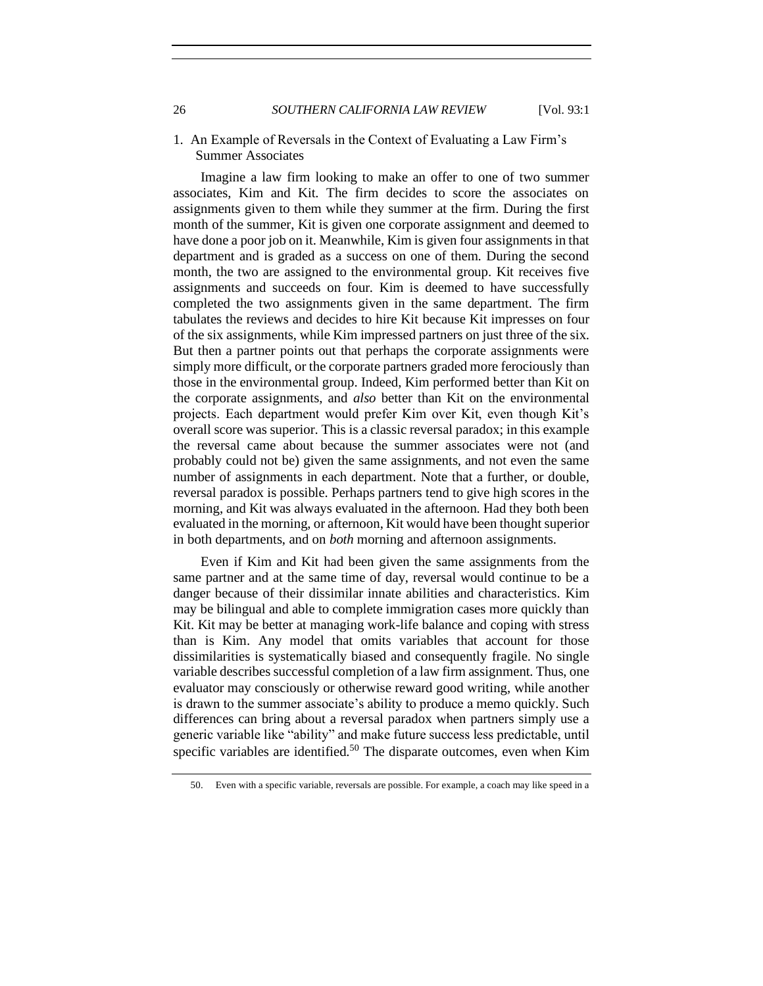26 *SOUTHERN CALIFORNIA LAW REVIEW* [Vol. 93:1

<span id="page-25-0"></span>1. An Example of Reversals in the Context of Evaluating a Law Firm's Summer Associates

Imagine a law firm looking to make an offer to one of two summer associates, Kim and Kit. The firm decides to score the associates on assignments given to them while they summer at the firm. During the first month of the summer, Kit is given one corporate assignment and deemed to have done a poor job on it. Meanwhile, Kim is given four assignments in that department and is graded as a success on one of them. During the second month, the two are assigned to the environmental group. Kit receives five assignments and succeeds on four. Kim is deemed to have successfully completed the two assignments given in the same department. The firm tabulates the reviews and decides to hire Kit because Kit impresses on four of the six assignments, while Kim impressed partners on just three of the six. But then a partner points out that perhaps the corporate assignments were simply more difficult, or the corporate partners graded more ferociously than those in the environmental group. Indeed, Kim performed better than Kit on the corporate assignments, and *also* better than Kit on the environmental projects. Each department would prefer Kim over Kit, even though Kit's overall score was superior. This is a classic reversal paradox; in this example the reversal came about because the summer associates were not (and probably could not be) given the same assignments, and not even the same number of assignments in each department. Note that a further, or double, reversal paradox is possible. Perhaps partners tend to give high scores in the morning, and Kit was always evaluated in the afternoon. Had they both been evaluated in the morning, or afternoon, Kit would have been thought superior in both departments, and on *both* morning and afternoon assignments.

Even if Kim and Kit had been given the same assignments from the same partner and at the same time of day, reversal would continue to be a danger because of their dissimilar innate abilities and characteristics. Kim may be bilingual and able to complete immigration cases more quickly than Kit. Kit may be better at managing work-life balance and coping with stress than is Kim. Any model that omits variables that account for those dissimilarities is systematically biased and consequently fragile. No single variable describes successful completion of a law firm assignment. Thus, one evaluator may consciously or otherwise reward good writing, while another is drawn to the summer associate's ability to produce a memo quickly. Such differences can bring about a reversal paradox when partners simply use a generic variable like "ability" and make future success less predictable, until specific variables are identified.<sup>50</sup> The disparate outcomes, even when Kim

<sup>50.</sup> Even with a specific variable, reversals are possible. For example, a coach may like speed in a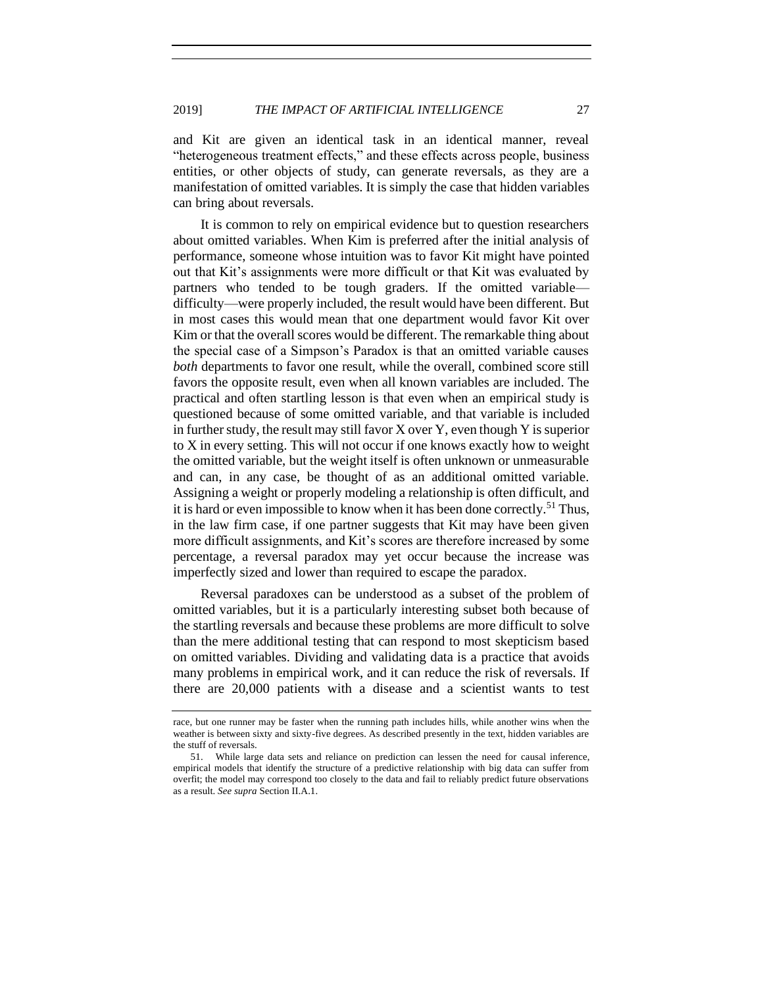and Kit are given an identical task in an identical manner, reveal "heterogeneous treatment effects," and these effects across people, business entities, or other objects of study, can generate reversals, as they are a manifestation of omitted variables. It is simply the case that hidden variables can bring about reversals.

It is common to rely on empirical evidence but to question researchers about omitted variables. When Kim is preferred after the initial analysis of performance, someone whose intuition was to favor Kit might have pointed out that Kit's assignments were more difficult or that Kit was evaluated by partners who tended to be tough graders. If the omitted variable difficulty—were properly included, the result would have been different. But in most cases this would mean that one department would favor Kit over Kim or that the overall scores would be different. The remarkable thing about the special case of a Simpson's Paradox is that an omitted variable causes *both* departments to favor one result, while the overall, combined score still favors the opposite result, even when all known variables are included. The practical and often startling lesson is that even when an empirical study is questioned because of some omitted variable, and that variable is included in further study, the result may still favor X over Y, even though Y is superior to X in every setting. This will not occur if one knows exactly how to weight the omitted variable, but the weight itself is often unknown or unmeasurable and can, in any case, be thought of as an additional omitted variable. Assigning a weight or properly modeling a relationship is often difficult, and it is hard or even impossible to know when it has been done correctly.<sup>51</sup> Thus, in the law firm case, if one partner suggests that Kit may have been given more difficult assignments, and Kit's scores are therefore increased by some percentage, a reversal paradox may yet occur because the increase was imperfectly sized and lower than required to escape the paradox.

Reversal paradoxes can be understood as a subset of the problem of omitted variables, but it is a particularly interesting subset both because of the startling reversals and because these problems are more difficult to solve than the mere additional testing that can respond to most skepticism based on omitted variables. Dividing and validating data is a practice that avoids many problems in empirical work, and it can reduce the risk of reversals. If there are 20,000 patients with a disease and a scientist wants to test

race, but one runner may be faster when the running path includes hills, while another wins when the weather is between sixty and sixty-five degrees. As described presently in the text, hidden variables are the stuff of reversals.

<sup>51.</sup> While large data sets and reliance on prediction can lessen the need for causal inference, empirical models that identify the structure of a predictive relationship with big data can suffer from overfit; the model may correspond too closely to the data and fail to reliably predict future observations as a result. *See supra* Section II.A.1.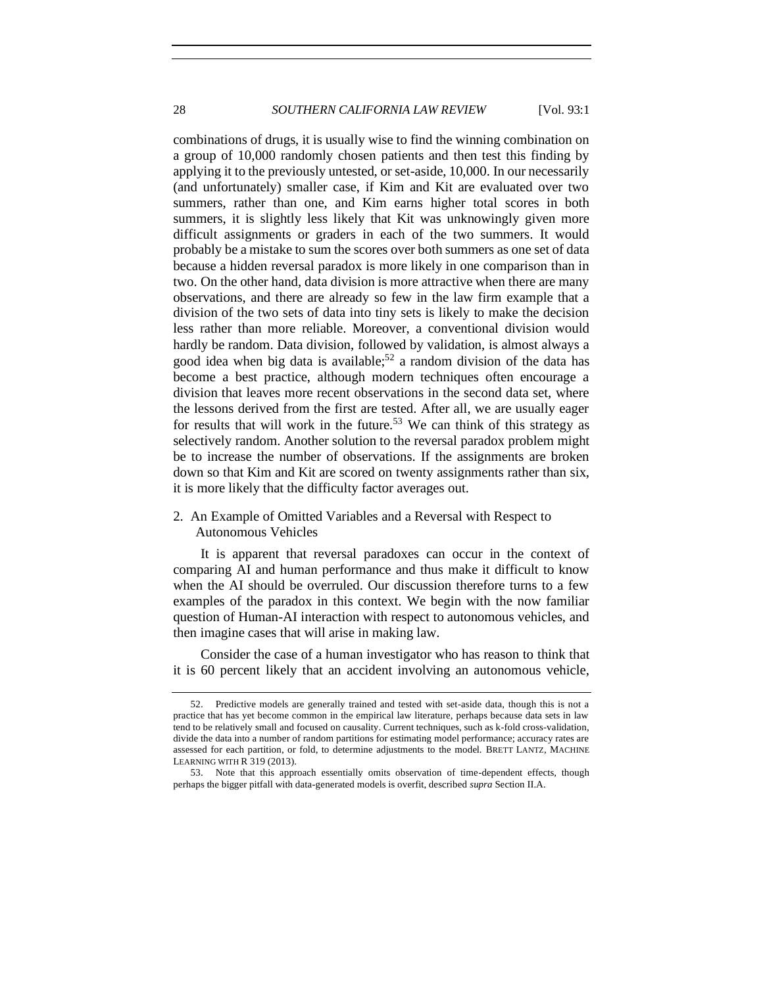combinations of drugs, it is usually wise to find the winning combination on a group of 10,000 randomly chosen patients and then test this finding by applying it to the previously untested, or set-aside, 10,000. In our necessarily (and unfortunately) smaller case, if Kim and Kit are evaluated over two summers, rather than one, and Kim earns higher total scores in both summers, it is slightly less likely that Kit was unknowingly given more difficult assignments or graders in each of the two summers. It would probably be a mistake to sum the scores over both summers as one set of data because a hidden reversal paradox is more likely in one comparison than in two. On the other hand, data division is more attractive when there are many observations, and there are already so few in the law firm example that a division of the two sets of data into tiny sets is likely to make the decision less rather than more reliable. Moreover, a conventional division would hardly be random. Data division, followed by validation, is almost always a good idea when big data is available;<sup>52</sup> a random division of the data has become a best practice, although modern techniques often encourage a division that leaves more recent observations in the second data set, where the lessons derived from the first are tested. After all, we are usually eager for results that will work in the future.<sup>53</sup> We can think of this strategy as selectively random. Another solution to the reversal paradox problem might be to increase the number of observations. If the assignments are broken down so that Kim and Kit are scored on twenty assignments rather than six, it is more likely that the difficulty factor averages out.

<span id="page-27-1"></span><span id="page-27-0"></span>2. An Example of Omitted Variables and a Reversal with Respect to Autonomous Vehicles

It is apparent that reversal paradoxes can occur in the context of comparing AI and human performance and thus make it difficult to know when the AI should be overruled. Our discussion therefore turns to a few examples of the paradox in this context. We begin with the now familiar question of Human-AI interaction with respect to autonomous vehicles, and then imagine cases that will arise in making law.

Consider the case of a human investigator who has reason to think that it is 60 percent likely that an accident involving an autonomous vehicle,

<sup>52.</sup> Predictive models are generally trained and tested with set-aside data, though this is not a practice that has yet become common in the empirical law literature, perhaps because data sets in law tend to be relatively small and focused on causality. Current techniques, such as k-fold cross-validation, divide the data into a number of random partitions for estimating model performance; accuracy rates are assessed for each partition, or fold, to determine adjustments to the model. BRETT LANTZ, MACHINE LEARNING WITH R 319 (2013).

<sup>53.</sup> Note that this approach essentially omits observation of time-dependent effects, though perhaps the bigger pitfall with data-generated models is overfit, described *supra* Section II.A.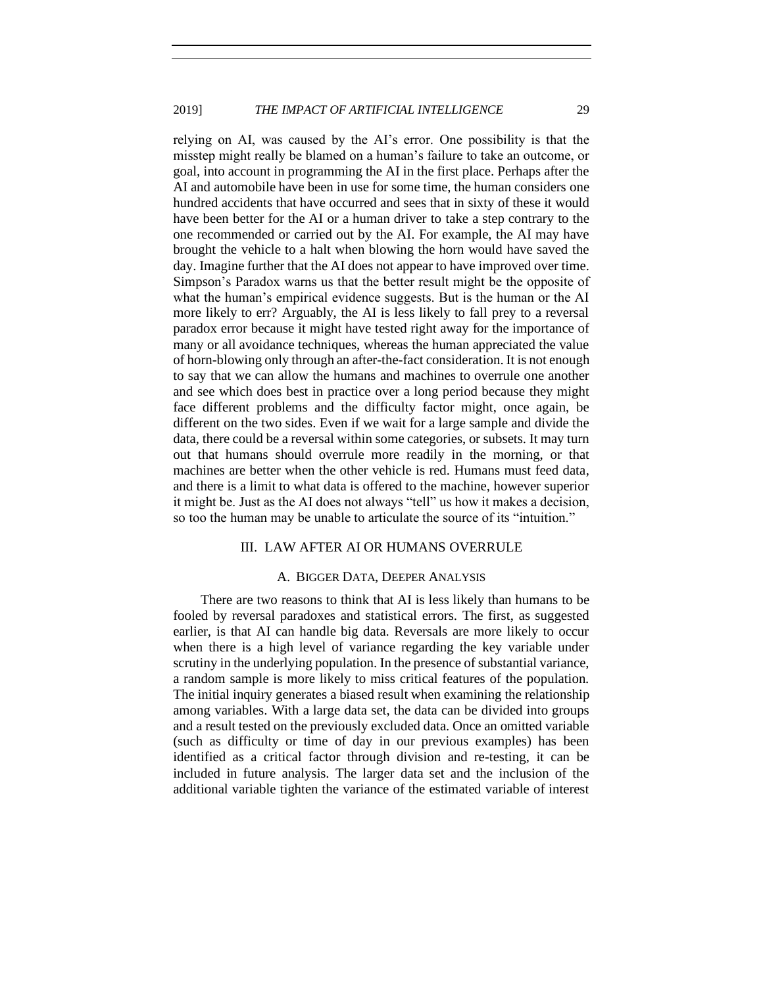relying on AI, was caused by the AI's error. One possibility is that the misstep might really be blamed on a human's failure to take an outcome, or goal, into account in programming the AI in the first place. Perhaps after the AI and automobile have been in use for some time, the human considers one hundred accidents that have occurred and sees that in sixty of these it would have been better for the AI or a human driver to take a step contrary to the one recommended or carried out by the AI. For example, the AI may have brought the vehicle to a halt when blowing the horn would have saved the day. Imagine further that the AI does not appear to have improved over time. Simpson's Paradox warns us that the better result might be the opposite of what the human's empirical evidence suggests. But is the human or the AI more likely to err? Arguably, the AI is less likely to fall prey to a reversal paradox error because it might have tested right away for the importance of many or all avoidance techniques, whereas the human appreciated the value of horn-blowing only through an after-the-fact consideration. It is not enough to say that we can allow the humans and machines to overrule one another and see which does best in practice over a long period because they might face different problems and the difficulty factor might, once again, be different on the two sides. Even if we wait for a large sample and divide the data, there could be a reversal within some categories, or subsets. It may turn out that humans should overrule more readily in the morning, or that machines are better when the other vehicle is red. Humans must feed data, and there is a limit to what data is offered to the machine, however superior it might be. Just as the AI does not always "tell" us how it makes a decision, so too the human may be unable to articulate the source of its "intuition."

# III. LAW AFTER AI OR HUMANS OVERRULE

#### A. BIGGER DATA, DEEPER ANALYSIS

<span id="page-28-1"></span><span id="page-28-0"></span>There are two reasons to think that AI is less likely than humans to be fooled by reversal paradoxes and statistical errors. The first, as suggested earlier, is that AI can handle big data. Reversals are more likely to occur when there is a high level of variance regarding the key variable under scrutiny in the underlying population. In the presence of substantial variance, a random sample is more likely to miss critical features of the population. The initial inquiry generates a biased result when examining the relationship among variables. With a large data set, the data can be divided into groups and a result tested on the previously excluded data. Once an omitted variable (such as difficulty or time of day in our previous examples) has been identified as a critical factor through division and re-testing, it can be included in future analysis. The larger data set and the inclusion of the additional variable tighten the variance of the estimated variable of interest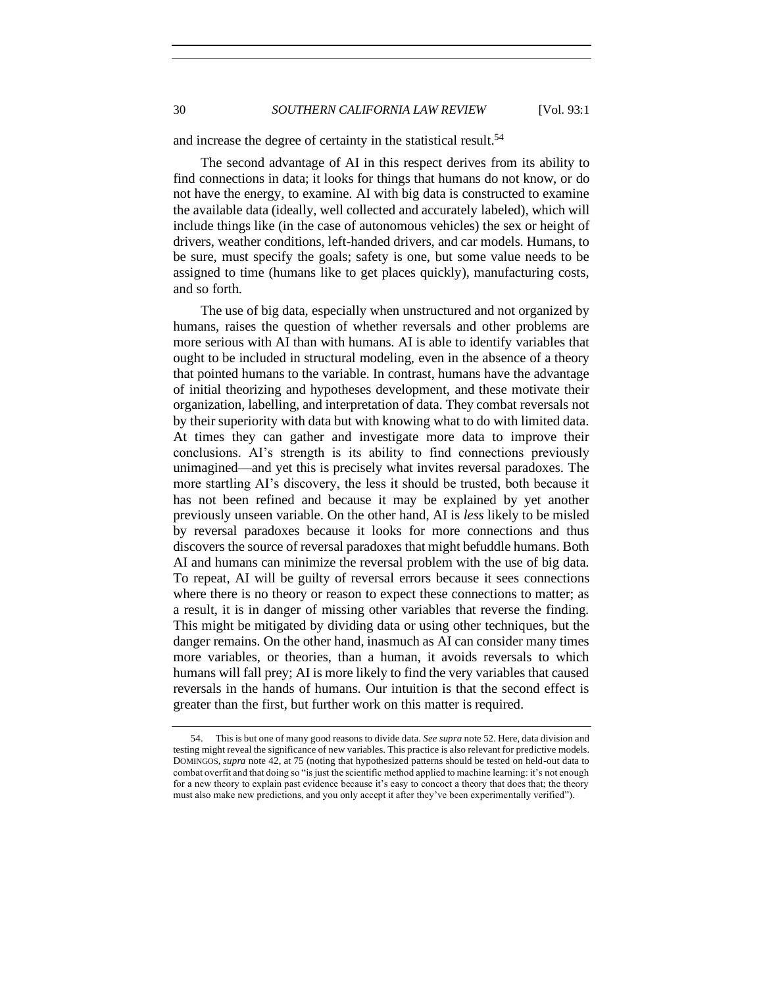30 *SOUTHERN CALIFORNIA LAW REVIEW* [Vol. 93:1

and increase the degree of certainty in the statistical result.<sup>54</sup>

The second advantage of AI in this respect derives from its ability to find connections in data; it looks for things that humans do not know, or do not have the energy, to examine. AI with big data is constructed to examine the available data (ideally, well collected and accurately labeled), which will include things like (in the case of autonomous vehicles) the sex or height of drivers, weather conditions, left-handed drivers, and car models. Humans, to be sure, must specify the goals; safety is one, but some value needs to be assigned to time (humans like to get places quickly), manufacturing costs, and so forth.

The use of big data, especially when unstructured and not organized by humans, raises the question of whether reversals and other problems are more serious with AI than with humans. AI is able to identify variables that ought to be included in structural modeling, even in the absence of a theory that pointed humans to the variable. In contrast, humans have the advantage of initial theorizing and hypotheses development, and these motivate their organization, labelling, and interpretation of data. They combat reversals not by their superiority with data but with knowing what to do with limited data. At times they can gather and investigate more data to improve their conclusions. AI's strength is its ability to find connections previously unimagined—and yet this is precisely what invites reversal paradoxes. The more startling AI's discovery, the less it should be trusted, both because it has not been refined and because it may be explained by yet another previously unseen variable. On the other hand, AI is *less* likely to be misled by reversal paradoxes because it looks for more connections and thus discovers the source of reversal paradoxes that might befuddle humans. Both AI and humans can minimize the reversal problem with the use of big data. To repeat, AI will be guilty of reversal errors because it sees connections where there is no theory or reason to expect these connections to matter; as a result, it is in danger of missing other variables that reverse the finding. This might be mitigated by dividing data or using other techniques, but the danger remains. On the other hand, inasmuch as AI can consider many times more variables, or theories, than a human, it avoids reversals to which humans will fall prey; AI is more likely to find the very variables that caused reversals in the hands of humans. Our intuition is that the second effect is greater than the first, but further work on this matter is required.

<sup>54.</sup> This is but one of many good reasons to divide data. *See supra* not[e 52.](#page-27-1) Here, data division and testing might reveal the significance of new variables. This practice is also relevant for predictive models. DOMINGOS, *supra* not[e 42,](#page-21-1) at 75 (noting that hypothesized patterns should be tested on held-out data to combat overfit and that doing so "is just the scientific method applied to machine learning: it's not enough for a new theory to explain past evidence because it's easy to concoct a theory that does that; the theory must also make new predictions, and you only accept it after they've been experimentally verified").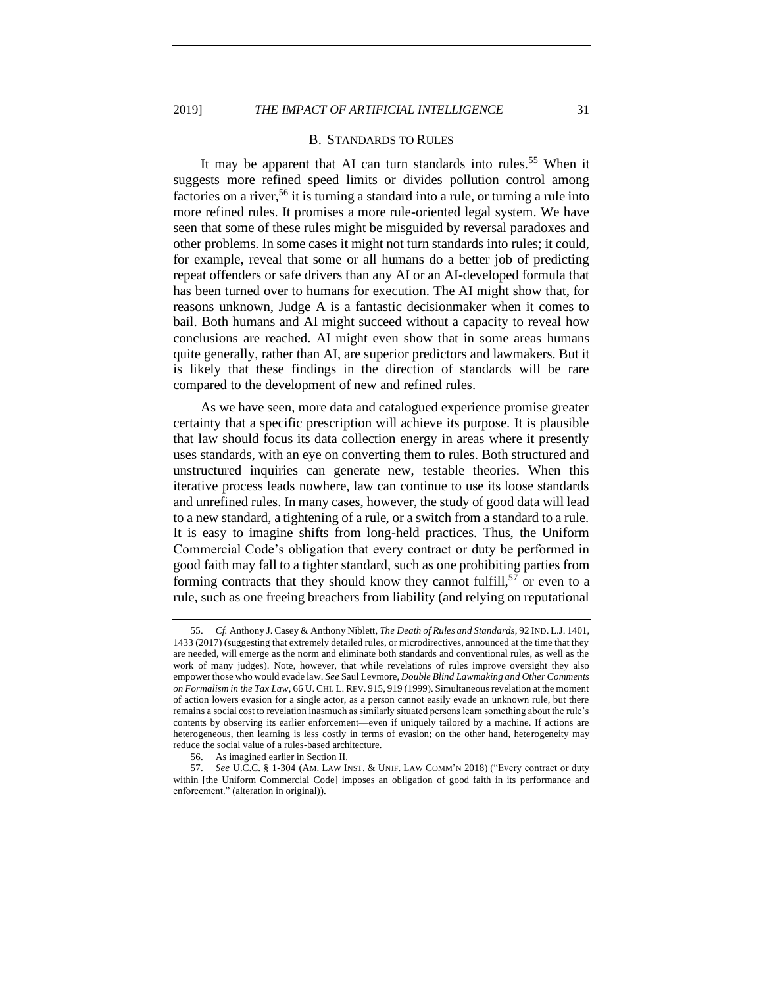#### B. STANDARDS TO RULES

<span id="page-30-0"></span>It may be apparent that AI can turn standards into rules.<sup>55</sup> When it suggests more refined speed limits or divides pollution control among factories on a river,  $56$  it is turning a standard into a rule, or turning a rule into more refined rules. It promises a more rule-oriented legal system. We have seen that some of these rules might be misguided by reversal paradoxes and other problems. In some cases it might not turn standards into rules; it could, for example, reveal that some or all humans do a better job of predicting repeat offenders or safe drivers than any AI or an AI-developed formula that has been turned over to humans for execution. The AI might show that, for reasons unknown, Judge A is a fantastic decisionmaker when it comes to bail. Both humans and AI might succeed without a capacity to reveal how conclusions are reached. AI might even show that in some areas humans quite generally, rather than AI, are superior predictors and lawmakers. But it is likely that these findings in the direction of standards will be rare compared to the development of new and refined rules.

As we have seen, more data and catalogued experience promise greater certainty that a specific prescription will achieve its purpose. It is plausible that law should focus its data collection energy in areas where it presently uses standards, with an eye on converting them to rules. Both structured and unstructured inquiries can generate new, testable theories. When this iterative process leads nowhere, law can continue to use its loose standards and unrefined rules. In many cases, however, the study of good data will lead to a new standard, a tightening of a rule, or a switch from a standard to a rule. It is easy to imagine shifts from long-held practices. Thus, the Uniform Commercial Code's obligation that every contract or duty be performed in good faith may fall to a tighter standard, such as one prohibiting parties from forming contracts that they should know they cannot fulfill,  $57$  or even to a rule, such as one freeing breachers from liability (and relying on reputational

<sup>55.</sup> *Cf.* Anthony J. Casey & Anthony Niblett, *The Death of Rules and Standards*, 92 IND. L.J. 1401, 1433 (2017) (suggesting that extremely detailed rules, or microdirectives, announced at the time that they are needed, will emerge as the norm and eliminate both standards and conventional rules, as well as the work of many judges). Note, however, that while revelations of rules improve oversight they also empower those who would evade law. *See* Saul Levmore, *Double Blind Lawmaking and Other Comments on Formalism in the Tax Law*, 66 U. CHI. L. REV. 915, 919 (1999). Simultaneous revelation at the moment of action lowers evasion for a single actor, as a person cannot easily evade an unknown rule, but there remains a social cost to revelation inasmuch as similarly situated persons learn something about the rule's contents by observing its earlier enforcement—even if uniquely tailored by a machine. If actions are heterogeneous, then learning is less costly in terms of evasion; on the other hand, heterogeneity may reduce the social value of a rules-based architecture.

<sup>56.</sup> As imagined earlier in Section II.

<sup>57.</sup> *See* U.C.C. § 1-304 (AM. LAW INST. & UNIF. LAW COMM'N 2018) ("Every contract or duty within [the Uniform Commercial Code] imposes an obligation of good faith in its performance and enforcement." (alteration in original)).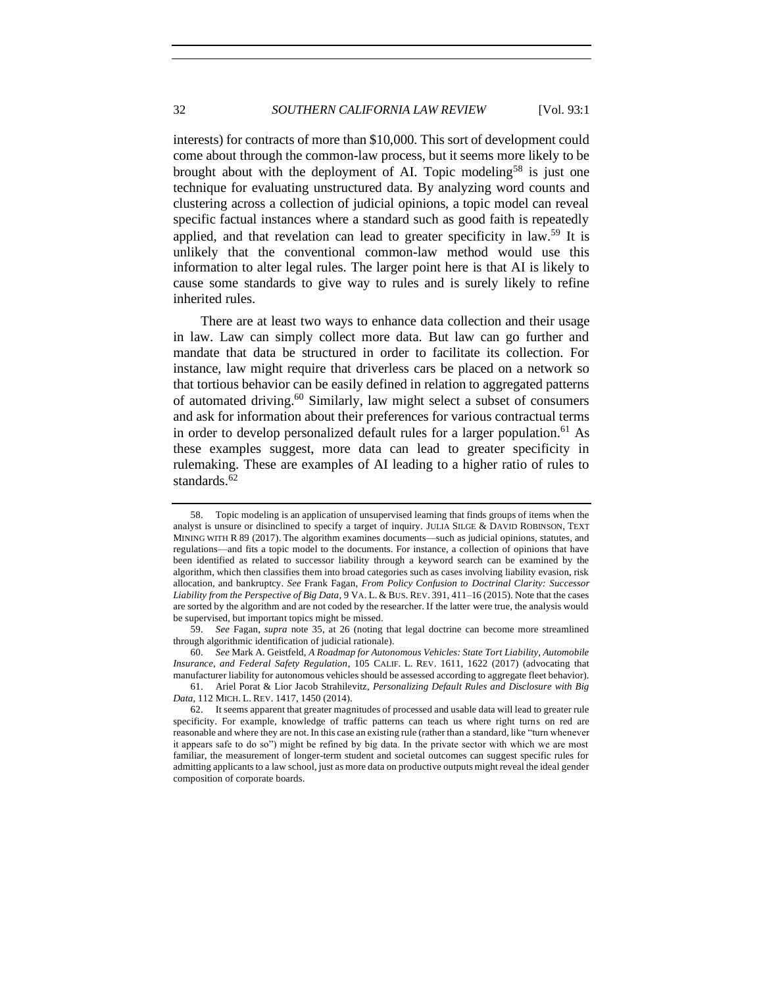interests) for contracts of more than \$10,000. This sort of development could come about through the common-law process, but it seems more likely to be brought about with the deployment of AI. Topic modeling<sup>58</sup> is just one technique for evaluating unstructured data. By analyzing word counts and clustering across a collection of judicial opinions, a topic model can reveal specific factual instances where a standard such as good faith is repeatedly applied, and that revelation can lead to greater specificity in  $law.59$  It is unlikely that the conventional common-law method would use this information to alter legal rules. The larger point here is that AI is likely to cause some standards to give way to rules and is surely likely to refine inherited rules.

There are at least two ways to enhance data collection and their usage in law. Law can simply collect more data. But law can go further and mandate that data be structured in order to facilitate its collection. For instance, law might require that driverless cars be placed on a network so that tortious behavior can be easily defined in relation to aggregated patterns of automated driving.<sup>60</sup> Similarly, law might select a subset of consumers and ask for information about their preferences for various contractual terms in order to develop personalized default rules for a larger population.<sup>61</sup> As these examples suggest, more data can lead to greater specificity in rulemaking. These are examples of AI leading to a higher ratio of rules to standards.<sup>62</sup>

<sup>58.</sup> Topic modeling is an application of unsupervised learning that finds groups of items when the analyst is unsure or disinclined to specify a target of inquiry. JULIA SILGE & DAVID ROBINSON, TEXT MINING WITH R 89 (2017). The algorithm examines documents—such as judicial opinions, statutes, and regulations—and fits a topic model to the documents. For instance, a collection of opinions that have been identified as related to successor liability through a keyword search can be examined by the algorithm, which then classifies them into broad categories such as cases involving liability evasion, risk allocation, and bankruptcy. *See* Frank Fagan, *From Policy Confusion to Doctrinal Clarity: Successor Liability from the Perspective of Big Data*, 9 VA. L. & BUS. REV. 391, 411–16 (2015). Note that the cases are sorted by the algorithm and are not coded by the researcher. If the latter were true, the analysis would be supervised, but important topics might be missed.

<sup>59.</sup> *See* Fagan, *supra* note [35,](#page-18-1) at 26 (noting that legal doctrine can become more streamlined through algorithmic identification of judicial rationale).

<sup>60.</sup> *See* Mark A. Geistfeld, *A Roadmap for Autonomous Vehicles: State Tort Liability, Automobile Insurance, and Federal Safety Regulation*, 105 CALIF. L. REV. 1611, 1622 (2017) (advocating that manufacturer liability for autonomous vehicles should be assessed according to aggregate fleet behavior).

<sup>61.</sup> Ariel Porat & Lior Jacob Strahilevitz, *Personalizing Default Rules and Disclosure with Big Data*, 112 MICH. L. REV. 1417, 1450 (2014).

<sup>62.</sup> It seems apparent that greater magnitudes of processed and usable data will lead to greater rule specificity. For example, knowledge of traffic patterns can teach us where right turns on red are reasonable and where they are not. In this case an existing rule (rather than a standard, like "turn whenever it appears safe to do so") might be refined by big data. In the private sector with which we are most familiar, the measurement of longer-term student and societal outcomes can suggest specific rules for admitting applicants to a law school, just as more data on productive outputs might reveal the ideal gender composition of corporate boards.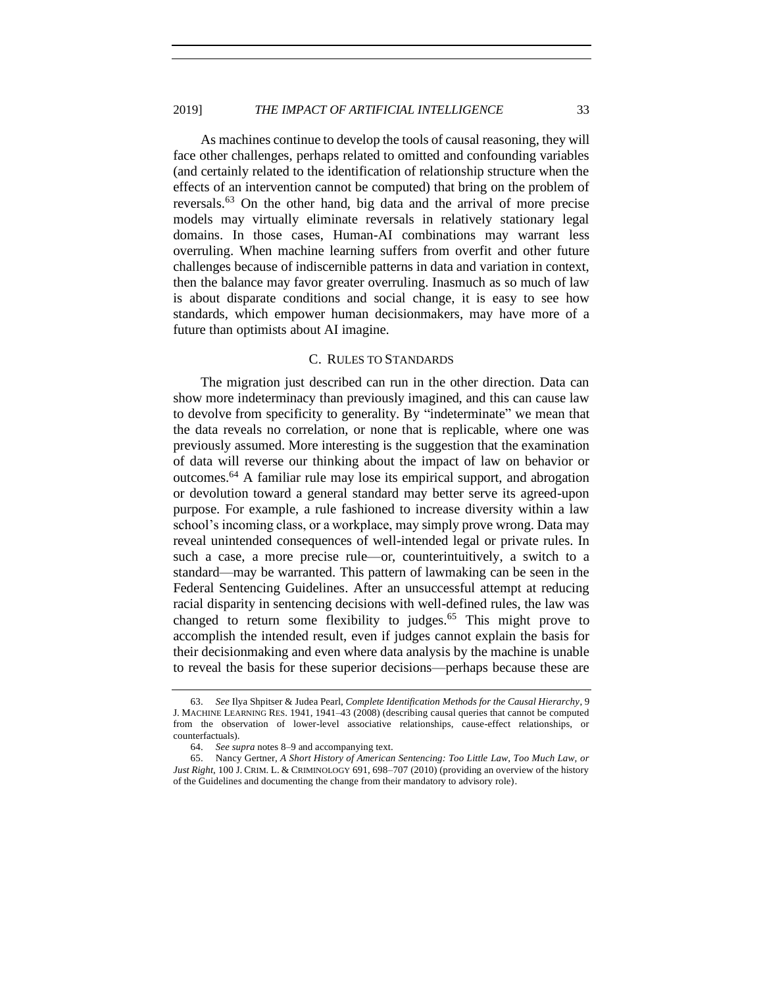As machines continue to develop the tools of causal reasoning, they will face other challenges, perhaps related to omitted and confounding variables (and certainly related to the identification of relationship structure when the effects of an intervention cannot be computed) that bring on the problem of reversals.<sup>63</sup> On the other hand, big data and the arrival of more precise models may virtually eliminate reversals in relatively stationary legal domains. In those cases, Human-AI combinations may warrant less overruling. When machine learning suffers from overfit and other future challenges because of indiscernible patterns in data and variation in context, then the balance may favor greater overruling. Inasmuch as so much of law is about disparate conditions and social change, it is easy to see how standards, which empower human decisionmakers, may have more of a future than optimists about AI imagine.

#### C. RULES TO STANDARDS

<span id="page-32-0"></span>The migration just described can run in the other direction. Data can show more indeterminacy than previously imagined, and this can cause law to devolve from specificity to generality. By "indeterminate" we mean that the data reveals no correlation, or none that is replicable, where one was previously assumed. More interesting is the suggestion that the examination of data will reverse our thinking about the impact of law on behavior or outcomes.<sup>64</sup> A familiar rule may lose its empirical support, and abrogation or devolution toward a general standard may better serve its agreed-upon purpose. For example, a rule fashioned to increase diversity within a law school's incoming class, or a workplace, may simply prove wrong. Data may reveal unintended consequences of well-intended legal or private rules. In such a case, a more precise rule—or, counterintuitively, a switch to a standard—may be warranted. This pattern of lawmaking can be seen in the Federal Sentencing Guidelines. After an unsuccessful attempt at reducing racial disparity in sentencing decisions with well-defined rules, the law was changed to return some flexibility to judges.<sup>65</sup> This might prove to accomplish the intended result, even if judges cannot explain the basis for their decisionmaking and even where data analysis by the machine is unable to reveal the basis for these superior decisions—perhaps because these are

<sup>63.</sup> *See* Ilya Shpitser & Judea Pearl, *Complete Identification Methods for the Causal Hierarchy*, 9 J. MACHINE LEARNING RES. 1941, 1941–43 (2008) (describing causal queries that cannot be computed from the observation of lower-level associative relationships, cause-effect relationships, or counterfactuals).

<sup>64.</sup> *See supra* note[s 8](#page-7-2)[–9](#page-7-1) and accompanying text.

<sup>65.</sup> Nancy Gertner, *A Short History of American Sentencing: Too Little Law, Too Much Law, or Just Right*, 100 J. CRIM. L. & CRIMINOLOGY 691, 698–707 (2010) (providing an overview of the history of the Guidelines and documenting the change from their mandatory to advisory role).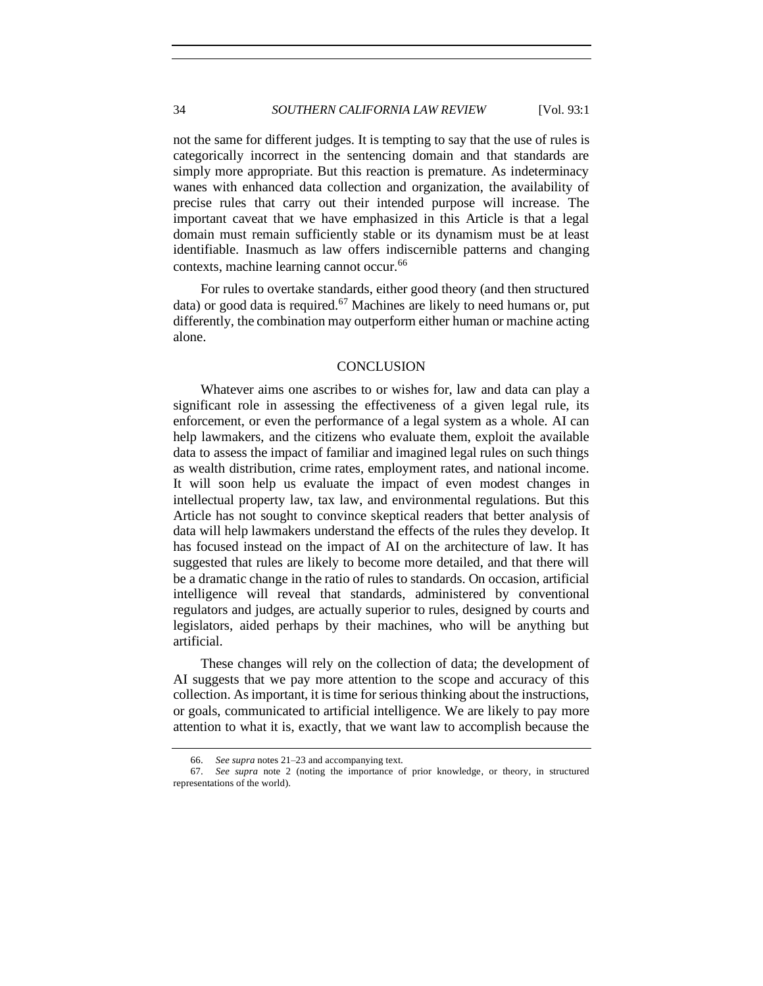not the same for different judges. It is tempting to say that the use of rules is categorically incorrect in the sentencing domain and that standards are simply more appropriate. But this reaction is premature. As indeterminacy wanes with enhanced data collection and organization, the availability of precise rules that carry out their intended purpose will increase. The important caveat that we have emphasized in this Article is that a legal domain must remain sufficiently stable or its dynamism must be at least identifiable. Inasmuch as law offers indiscernible patterns and changing contexts, machine learning cannot occur.<sup>66</sup>

For rules to overtake standards, either good theory (and then structured data) or good data is required.<sup>67</sup> Machines are likely to need humans or, put differently, the combination may outperform either human or machine acting alone.

## **CONCLUSION**

<span id="page-33-0"></span>Whatever aims one ascribes to or wishes for, law and data can play a significant role in assessing the effectiveness of a given legal rule, its enforcement, or even the performance of a legal system as a whole. AI can help lawmakers, and the citizens who evaluate them, exploit the available data to assess the impact of familiar and imagined legal rules on such things as wealth distribution, crime rates, employment rates, and national income. It will soon help us evaluate the impact of even modest changes in intellectual property law, tax law, and environmental regulations. But this Article has not sought to convince skeptical readers that better analysis of data will help lawmakers understand the effects of the rules they develop. It has focused instead on the impact of AI on the architecture of law. It has suggested that rules are likely to become more detailed, and that there will be a dramatic change in the ratio of rules to standards. On occasion, artificial intelligence will reveal that standards, administered by conventional regulators and judges, are actually superior to rules, designed by courts and legislators, aided perhaps by their machines, who will be anything but artificial.

These changes will rely on the collection of data; the development of AI suggests that we pay more attention to the scope and accuracy of this collection. As important, it is time for serious thinking about the instructions, or goals, communicated to artificial intelligence. We are likely to pay more attention to what it is, exactly, that we want law to accomplish because the

<sup>66.</sup> *See supra* note[s 21–](#page-12-1)23 and accompanying text.

<sup>67.</sup> *See supra* note 2 (noting the importance of prior knowledge, or theory, in structured representations of the world).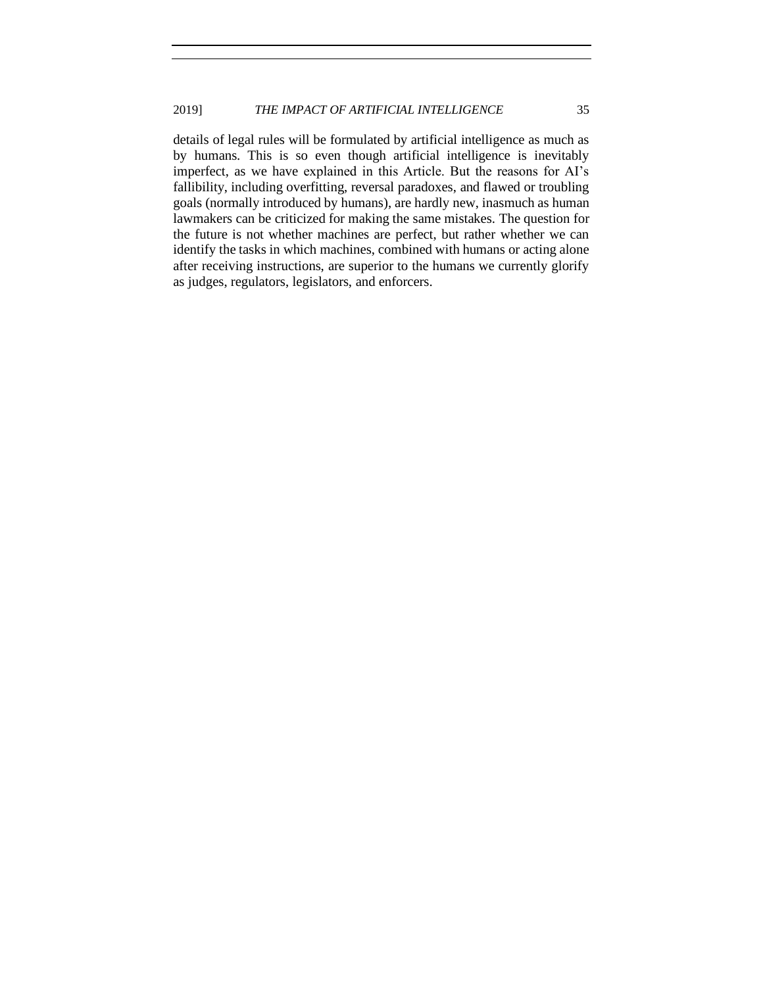details of legal rules will be formulated by artificial intelligence as much as by humans. This is so even though artificial intelligence is inevitably imperfect, as we have explained in this Article. But the reasons for AI's fallibility, including overfitting, reversal paradoxes, and flawed or troubling goals (normally introduced by humans), are hardly new, inasmuch as human lawmakers can be criticized for making the same mistakes. The question for the future is not whether machines are perfect, but rather whether we can identify the tasks in which machines, combined with humans or acting alone after receiving instructions, are superior to the humans we currently glorify as judges, regulators, legislators, and enforcers.